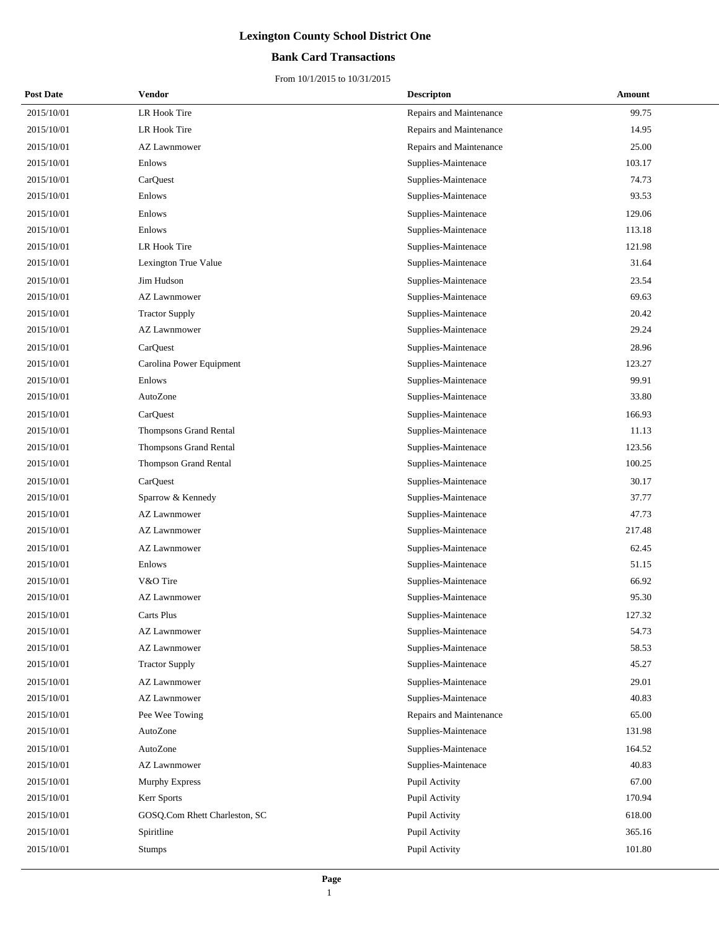### **Bank Card Transactions**

| <b>Post Date</b> | Vendor                        | <b>Descripton</b>       | Amount |
|------------------|-------------------------------|-------------------------|--------|
| 2015/10/01       | LR Hook Tire                  | Repairs and Maintenance | 99.75  |
| 2015/10/01       | LR Hook Tire                  | Repairs and Maintenance | 14.95  |
| 2015/10/01       | <b>AZ Lawnmower</b>           | Repairs and Maintenance | 25.00  |
| 2015/10/01       | Enlows                        | Supplies-Maintenace     | 103.17 |
| 2015/10/01       | CarQuest                      | Supplies-Maintenace     | 74.73  |
| 2015/10/01       | Enlows                        | Supplies-Maintenace     | 93.53  |
| 2015/10/01       | Enlows                        | Supplies-Maintenace     | 129.06 |
| 2015/10/01       | Enlows                        | Supplies-Maintenace     | 113.18 |
| 2015/10/01       | LR Hook Tire                  | Supplies-Maintenace     | 121.98 |
| 2015/10/01       | Lexington True Value          | Supplies-Maintenace     | 31.64  |
| 2015/10/01       | Jim Hudson                    | Supplies-Maintenace     | 23.54  |
| 2015/10/01       | <b>AZ Lawnmower</b>           | Supplies-Maintenace     | 69.63  |
| 2015/10/01       | <b>Tractor Supply</b>         | Supplies-Maintenace     | 20.42  |
| 2015/10/01       | <b>AZ Lawnmower</b>           | Supplies-Maintenace     | 29.24  |
| 2015/10/01       | CarQuest                      | Supplies-Maintenace     | 28.96  |
| 2015/10/01       | Carolina Power Equipment      | Supplies-Maintenace     | 123.27 |
| 2015/10/01       | Enlows                        | Supplies-Maintenace     | 99.91  |
| 2015/10/01       | AutoZone                      | Supplies-Maintenace     | 33.80  |
| 2015/10/01       | CarQuest                      | Supplies-Maintenace     | 166.93 |
| 2015/10/01       | Thompsons Grand Rental        | Supplies-Maintenace     | 11.13  |
| 2015/10/01       | Thompsons Grand Rental        | Supplies-Maintenace     | 123.56 |
| 2015/10/01       | Thompson Grand Rental         | Supplies-Maintenace     | 100.25 |
| 2015/10/01       | CarQuest                      | Supplies-Maintenace     | 30.17  |
| 2015/10/01       | Sparrow & Kennedy             | Supplies-Maintenace     | 37.77  |
| 2015/10/01       | <b>AZ Lawnmower</b>           | Supplies-Maintenace     | 47.73  |
| 2015/10/01       | <b>AZ Lawnmower</b>           | Supplies-Maintenace     | 217.48 |
| 2015/10/01       | <b>AZ Lawnmower</b>           | Supplies-Maintenace     | 62.45  |
| 2015/10/01       | Enlows                        | Supplies-Maintenace     | 51.15  |
| 2015/10/01       | V&O Tire                      | Supplies-Maintenace     | 66.92  |
| 2015/10/01       | <b>AZ Lawnmower</b>           | Supplies-Maintenace     | 95.30  |
| 2015/10/01       | Carts Plus                    | Supplies-Maintenace     | 127.32 |
| 2015/10/01       | <b>AZ Lawnmower</b>           | Supplies-Maintenace     | 54.73  |
| 2015/10/01       | AZ Lawnmower                  | Supplies-Maintenace     | 58.53  |
| 2015/10/01       | <b>Tractor Supply</b>         | Supplies-Maintenace     | 45.27  |
| 2015/10/01       | <b>AZ Lawnmower</b>           | Supplies-Maintenace     | 29.01  |
| 2015/10/01       | <b>AZ Lawnmower</b>           | Supplies-Maintenace     | 40.83  |
| 2015/10/01       | Pee Wee Towing                | Repairs and Maintenance | 65.00  |
| 2015/10/01       | AutoZone                      | Supplies-Maintenace     | 131.98 |
| 2015/10/01       | AutoZone                      | Supplies-Maintenace     | 164.52 |
| 2015/10/01       | <b>AZ Lawnmower</b>           | Supplies-Maintenace     | 40.83  |
| 2015/10/01       | <b>Murphy Express</b>         | Pupil Activity          | 67.00  |
| 2015/10/01       | Kerr Sports                   | Pupil Activity          | 170.94 |
| 2015/10/01       | GOSQ.Com Rhett Charleston, SC | Pupil Activity          | 618.00 |
| 2015/10/01       | Spiritline                    | Pupil Activity          | 365.16 |
| 2015/10/01       | <b>Stumps</b>                 | Pupil Activity          | 101.80 |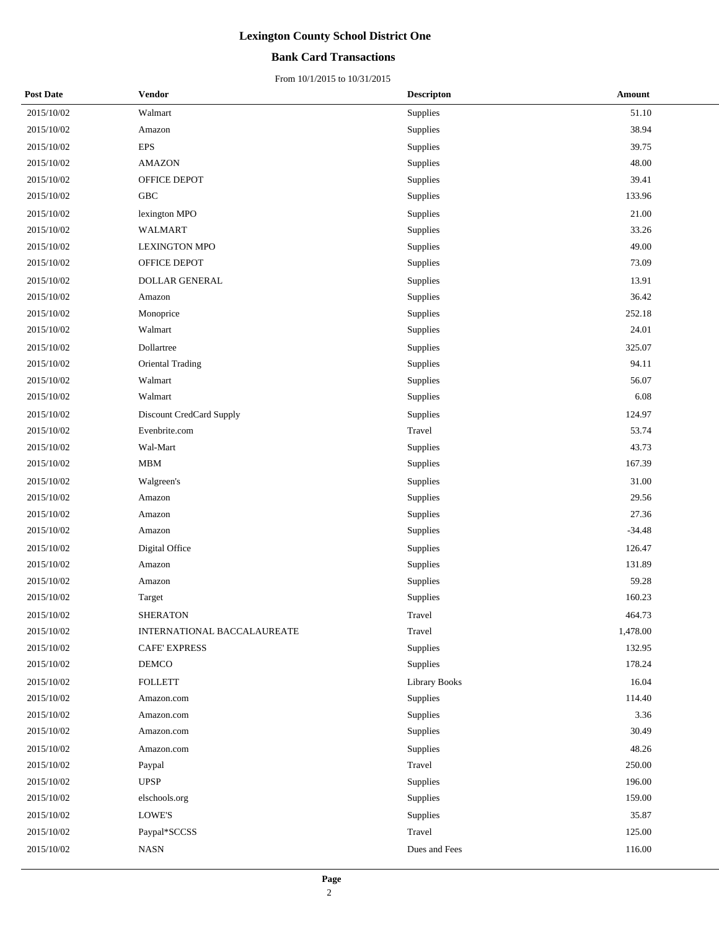### **Bank Card Transactions**

| <b>Post Date</b> | Vendor                      | <b>Descripton</b>    | <b>Amount</b> |
|------------------|-----------------------------|----------------------|---------------|
| 2015/10/02       | Walmart                     | Supplies             | 51.10         |
| 2015/10/02       | Amazon                      | Supplies             | 38.94         |
| 2015/10/02       | <b>EPS</b>                  | Supplies             | 39.75         |
| 2015/10/02       | <b>AMAZON</b>               | Supplies             | 48.00         |
| 2015/10/02       | OFFICE DEPOT                | Supplies             | 39.41         |
| 2015/10/02       | GBC                         | Supplies             | 133.96        |
| 2015/10/02       | lexington MPO               | Supplies             | 21.00         |
| 2015/10/02       | <b>WALMART</b>              | Supplies             | 33.26         |
| 2015/10/02       | <b>LEXINGTON MPO</b>        | Supplies             | 49.00         |
| 2015/10/02       | OFFICE DEPOT                | Supplies             | 73.09         |
| 2015/10/02       | DOLLAR GENERAL              | Supplies             | 13.91         |
| 2015/10/02       | Amazon                      | Supplies             | 36.42         |
| 2015/10/02       | Monoprice                   | Supplies             | 252.18        |
| 2015/10/02       | Walmart                     | Supplies             | 24.01         |
| 2015/10/02       | Dollartree                  | Supplies             | 325.07        |
| 2015/10/02       | Oriental Trading            | Supplies             | 94.11         |
| 2015/10/02       | Walmart                     | Supplies             | 56.07         |
| 2015/10/02       | Walmart                     | Supplies             | 6.08          |
| 2015/10/02       | Discount CredCard Supply    | Supplies             | 124.97        |
| 2015/10/02       | Evenbrite.com               | Travel               | 53.74         |
| 2015/10/02       | Wal-Mart                    | Supplies             | 43.73         |
| 2015/10/02       | MBM                         | Supplies             | 167.39        |
| 2015/10/02       | Walgreen's                  | Supplies             | 31.00         |
| 2015/10/02       | Amazon                      | Supplies             | 29.56         |
| 2015/10/02       | Amazon                      | Supplies             | 27.36         |
| 2015/10/02       | Amazon                      | Supplies             | $-34.48$      |
| 2015/10/02       | Digital Office              | Supplies             | 126.47        |
| 2015/10/02       | Amazon                      | Supplies             | 131.89        |
| 2015/10/02       | Amazon                      | Supplies             | 59.28         |
| 2015/10/02       | Target                      | Supplies             | 160.23        |
| 2015/10/02       | <b>SHERATON</b>             | Travel               | 464.73        |
| 2015/10/02       | INTERNATIONAL BACCALAUREATE | Travel               | 1,478.00      |
| 2015/10/02       | <b>CAFE' EXPRESS</b>        | Supplies             | 132.95        |
| 2015/10/02       | DEMCO                       | Supplies             | 178.24        |
| 2015/10/02       | <b>FOLLETT</b>              | <b>Library Books</b> | 16.04         |
| 2015/10/02       | Amazon.com                  | Supplies             | 114.40        |
| 2015/10/02       | Amazon.com                  | Supplies             | 3.36          |
| 2015/10/02       | Amazon.com                  | Supplies             | 30.49         |
| 2015/10/02       | Amazon.com                  | Supplies             | 48.26         |
| 2015/10/02       | Paypal                      | Travel               | 250.00        |
| 2015/10/02       | <b>UPSP</b>                 | Supplies             | 196.00        |
| 2015/10/02       | elschools.org               | Supplies             | 159.00        |
| 2015/10/02       | LOWE'S                      | Supplies             | 35.87         |
| 2015/10/02       | Paypal*SCCSS                | Travel               | 125.00        |
| 2015/10/02       | <b>NASN</b>                 | Dues and Fees        | 116.00        |
|                  |                             |                      |               |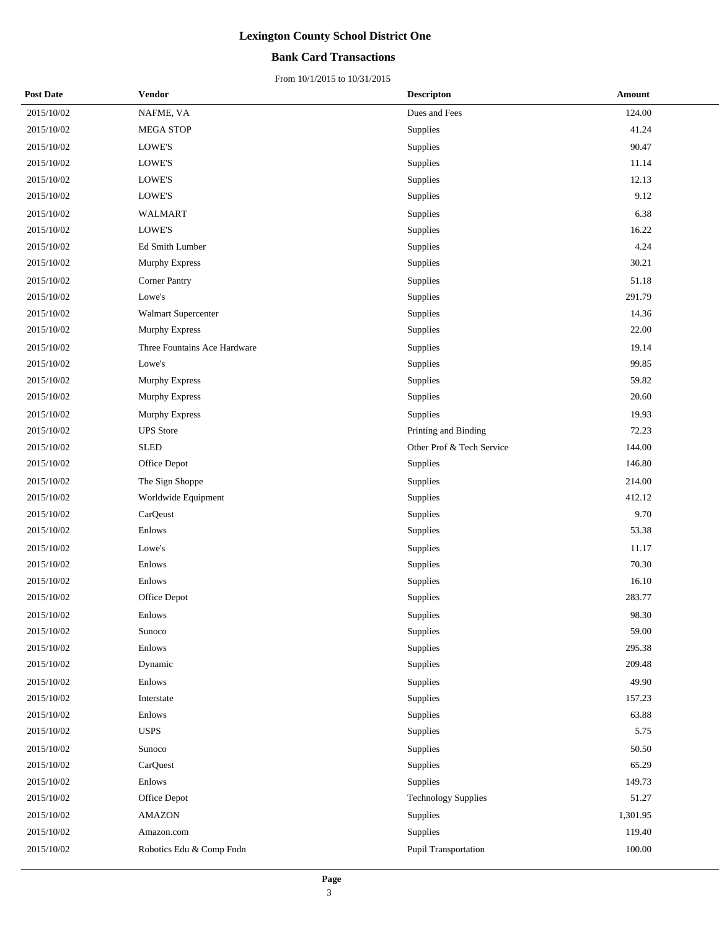### **Bank Card Transactions**

| <b>Post Date</b> | Vendor                       | <b>Descripton</b>          | Amount   |
|------------------|------------------------------|----------------------------|----------|
| 2015/10/02       | NAFME, VA                    | Dues and Fees              | 124.00   |
| 2015/10/02       | MEGA STOP                    | Supplies                   | 41.24    |
| 2015/10/02       | LOWE'S                       | Supplies                   | 90.47    |
| 2015/10/02       | LOWE'S                       | Supplies                   | 11.14    |
| 2015/10/02       | LOWE'S                       | Supplies                   | 12.13    |
| 2015/10/02       | LOWE'S                       | Supplies                   | 9.12     |
| 2015/10/02       | WALMART                      | Supplies                   | 6.38     |
| 2015/10/02       | LOWE'S                       | Supplies                   | 16.22    |
| 2015/10/02       | Ed Smith Lumber              | Supplies                   | 4.24     |
| 2015/10/02       | Murphy Express               | Supplies                   | 30.21    |
| 2015/10/02       | <b>Corner Pantry</b>         | Supplies                   | 51.18    |
| 2015/10/02       | Lowe's                       | Supplies                   | 291.79   |
| 2015/10/02       | Walmart Supercenter          | Supplies                   | 14.36    |
| 2015/10/02       | Murphy Express               | Supplies                   | 22.00    |
| 2015/10/02       | Three Fountains Ace Hardware | Supplies                   | 19.14    |
| 2015/10/02       | Lowe's                       | Supplies                   | 99.85    |
| 2015/10/02       | Murphy Express               | Supplies                   | 59.82    |
| 2015/10/02       | Murphy Express               | Supplies                   | 20.60    |
| 2015/10/02       | Murphy Express               | Supplies                   | 19.93    |
| 2015/10/02       | <b>UPS</b> Store             | Printing and Binding       | 72.23    |
| 2015/10/02       | ${\hbox{\rm SLED}}$          | Other Prof & Tech Service  | 144.00   |
| 2015/10/02       | Office Depot                 | Supplies                   | 146.80   |
| 2015/10/02       | The Sign Shoppe              | Supplies                   | 214.00   |
| 2015/10/02       | Worldwide Equipment          | Supplies                   | 412.12   |
| 2015/10/02       | CarQeust                     | Supplies                   | 9.70     |
| 2015/10/02       | Enlows                       | Supplies                   | 53.38    |
| 2015/10/02       | Lowe's                       | Supplies                   | 11.17    |
| 2015/10/02       | Enlows                       | Supplies                   | 70.30    |
| 2015/10/02       | Enlows                       | Supplies                   | 16.10    |
| 2015/10/02       | Office Depot                 | Supplies                   | 283.77   |
| 2015/10/02       | Enlows                       | Supplies                   | 98.30    |
| 2015/10/02       | Sunoco                       | Supplies                   | 59.00    |
| 2015/10/02       | Enlows                       | Supplies                   | 295.38   |
| 2015/10/02       | Dynamic                      | Supplies                   | 209.48   |
| 2015/10/02       | Enlows                       | Supplies                   | 49.90    |
| 2015/10/02       | Interstate                   | Supplies                   | 157.23   |
| 2015/10/02       | Enlows                       | Supplies                   | 63.88    |
| 2015/10/02       | <b>USPS</b>                  | Supplies                   | 5.75     |
| 2015/10/02       | Sunoco                       | Supplies                   | 50.50    |
| 2015/10/02       | CarQuest                     | Supplies                   | 65.29    |
| 2015/10/02       | Enlows                       | Supplies                   | 149.73   |
| 2015/10/02       | Office Depot                 | <b>Technology Supplies</b> | 51.27    |
| 2015/10/02       | <b>AMAZON</b>                | Supplies                   | 1,301.95 |
| 2015/10/02       | Amazon.com                   | Supplies                   | 119.40   |
| 2015/10/02       | Robotics Edu & Comp Fndn     | Pupil Transportation       | 100.00   |
|                  |                              |                            |          |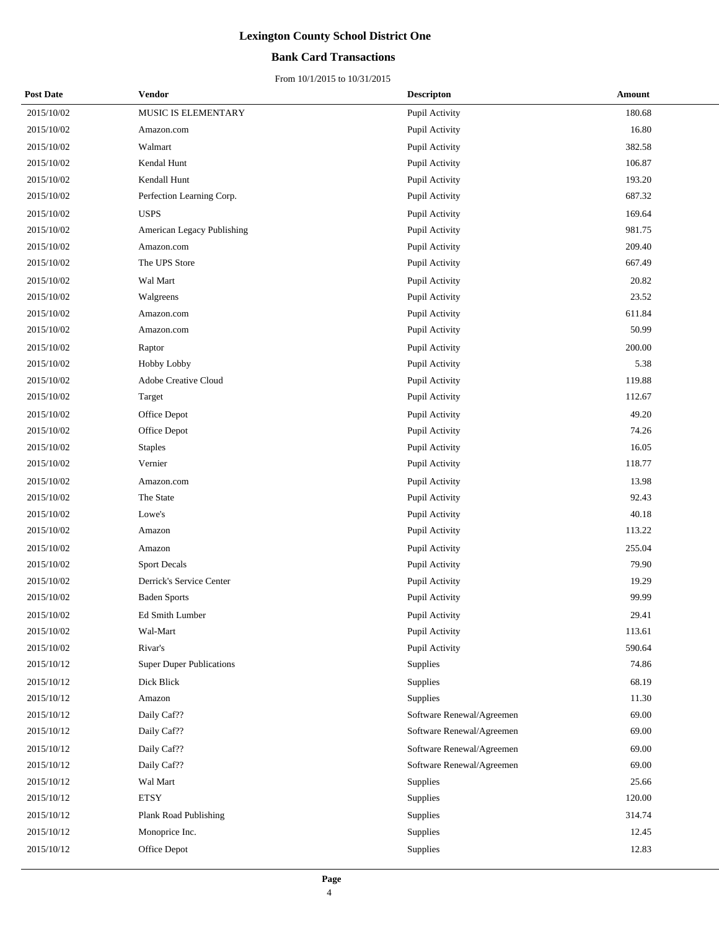### **Bank Card Transactions**

| <b>Post Date</b> | <b>Vendor</b>                   | <b>Descripton</b>         | Amount |
|------------------|---------------------------------|---------------------------|--------|
| 2015/10/02       | MUSIC IS ELEMENTARY             | Pupil Activity            | 180.68 |
| 2015/10/02       | Amazon.com                      | Pupil Activity            | 16.80  |
| 2015/10/02       | Walmart                         | Pupil Activity            | 382.58 |
| 2015/10/02       | Kendal Hunt                     | Pupil Activity            | 106.87 |
| 2015/10/02       | Kendall Hunt                    | Pupil Activity            | 193.20 |
| 2015/10/02       | Perfection Learning Corp.       | Pupil Activity            | 687.32 |
| 2015/10/02       | <b>USPS</b>                     | Pupil Activity            | 169.64 |
| 2015/10/02       | American Legacy Publishing      | Pupil Activity            | 981.75 |
| 2015/10/02       | Amazon.com                      | Pupil Activity            | 209.40 |
| 2015/10/02       | The UPS Store                   | Pupil Activity            | 667.49 |
| 2015/10/02       | Wal Mart                        | Pupil Activity            | 20.82  |
| 2015/10/02       | Walgreens                       | Pupil Activity            | 23.52  |
| 2015/10/02       | Amazon.com                      | Pupil Activity            | 611.84 |
| 2015/10/02       | Amazon.com                      | Pupil Activity            | 50.99  |
| 2015/10/02       | Raptor                          | Pupil Activity            | 200.00 |
| 2015/10/02       | Hobby Lobby                     | Pupil Activity            | 5.38   |
| 2015/10/02       | Adobe Creative Cloud            | Pupil Activity            | 119.88 |
| 2015/10/02       | Target                          | Pupil Activity            | 112.67 |
| 2015/10/02       | Office Depot                    | Pupil Activity            | 49.20  |
| 2015/10/02       | Office Depot                    | Pupil Activity            | 74.26  |
| 2015/10/02       | <b>Staples</b>                  | Pupil Activity            | 16.05  |
| 2015/10/02       | Vernier                         | Pupil Activity            | 118.77 |
| 2015/10/02       | Amazon.com                      | Pupil Activity            | 13.98  |
| 2015/10/02       | The State                       | Pupil Activity            | 92.43  |
| 2015/10/02       | Lowe's                          | Pupil Activity            | 40.18  |
| 2015/10/02       | Amazon                          | Pupil Activity            | 113.22 |
| 2015/10/02       | Amazon                          | Pupil Activity            | 255.04 |
| 2015/10/02       | <b>Sport Decals</b>             | Pupil Activity            | 79.90  |
| 2015/10/02       | Derrick's Service Center        | Pupil Activity            | 19.29  |
| 2015/10/02       | <b>Baden Sports</b>             | Pupil Activity            | 99.99  |
| 2015/10/02       | <b>Ed Smith Lumber</b>          | Pupil Activity            | 29.41  |
| 2015/10/02       | Wal-Mart                        | Pupil Activity            | 113.61 |
| 2015/10/02       | Rivar's                         | Pupil Activity            | 590.64 |
| 2015/10/12       | <b>Super Duper Publications</b> | Supplies                  | 74.86  |
| 2015/10/12       | Dick Blick                      | Supplies                  | 68.19  |
| 2015/10/12       | Amazon                          | Supplies                  | 11.30  |
| 2015/10/12       | Daily Caf??                     | Software Renewal/Agreemen | 69.00  |
| 2015/10/12       | Daily Caf??                     | Software Renewal/Agreemen | 69.00  |
| 2015/10/12       | Daily Caf??                     | Software Renewal/Agreemen | 69.00  |
| 2015/10/12       | Daily Caf??                     | Software Renewal/Agreemen | 69.00  |
| 2015/10/12       | Wal Mart                        | Supplies                  | 25.66  |
| 2015/10/12       | $\mathop{\rm ETSY}\nolimits$    | Supplies                  | 120.00 |
| 2015/10/12       | Plank Road Publishing           | Supplies                  | 314.74 |
| 2015/10/12       | Monoprice Inc.                  | Supplies                  | 12.45  |
| 2015/10/12       | Office Depot                    | Supplies                  | 12.83  |
|                  |                                 |                           |        |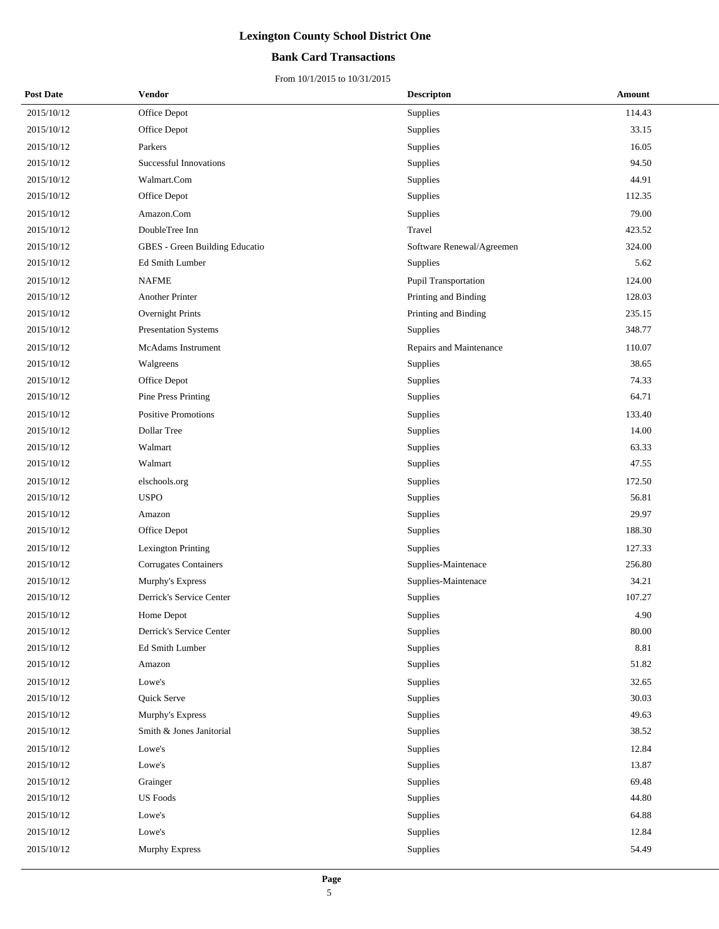### **Bank Card Transactions**

| <b>Post Date</b> | Vendor                         | <b>Descripton</b>         | Amount |
|------------------|--------------------------------|---------------------------|--------|
| 2015/10/12       | Office Depot                   | Supplies                  | 114.43 |
| 2015/10/12       | Office Depot                   | Supplies                  | 33.15  |
| 2015/10/12       | Parkers                        | Supplies                  | 16.05  |
| 2015/10/12       | <b>Successful Innovations</b>  | Supplies                  | 94.50  |
| 2015/10/12       | Walmart.Com                    | Supplies                  | 44.91  |
| 2015/10/12       | Office Depot                   | Supplies                  | 112.35 |
| 2015/10/12       | Amazon.Com                     | Supplies                  | 79.00  |
| 2015/10/12       | DoubleTree Inn                 | Travel                    | 423.52 |
| 2015/10/12       | GBES - Green Building Educatio | Software Renewal/Agreemen | 324.00 |
| 2015/10/12       | Ed Smith Lumber                | Supplies                  | 5.62   |
| 2015/10/12       | <b>NAFME</b>                   | Pupil Transportation      | 124.00 |
| 2015/10/12       | Another Printer                | Printing and Binding      | 128.03 |
| 2015/10/12       | Overnight Prints               | Printing and Binding      | 235.15 |
| 2015/10/12       | Presentation Systems           | Supplies                  | 348.77 |
| 2015/10/12       | McAdams Instrument             | Repairs and Maintenance   | 110.07 |
| 2015/10/12       | Walgreens                      | Supplies                  | 38.65  |
| 2015/10/12       | Office Depot                   | Supplies                  | 74.33  |
| 2015/10/12       | Pine Press Printing            | Supplies                  | 64.71  |
| 2015/10/12       | Positive Promotions            | Supplies                  | 133.40 |
| 2015/10/12       | Dollar Tree                    | Supplies                  | 14.00  |
| 2015/10/12       | Walmart                        | Supplies                  | 63.33  |
| 2015/10/12       | Walmart                        | Supplies                  | 47.55  |
| 2015/10/12       | elschools.org                  | Supplies                  | 172.50 |
| 2015/10/12       | <b>USPO</b>                    | Supplies                  | 56.81  |
| 2015/10/12       | Amazon                         | Supplies                  | 29.97  |
| 2015/10/12       | Office Depot                   | Supplies                  | 188.30 |
| 2015/10/12       | <b>Lexington Printing</b>      | Supplies                  | 127.33 |
| 2015/10/12       | <b>Corrugates Containers</b>   | Supplies-Maintenace       | 256.80 |
| 2015/10/12       | Murphy's Express               | Supplies-Maintenace       | 34.21  |
| 2015/10/12       | Derrick's Service Center       | Supplies                  | 107.27 |
| 2015/10/12       | Home Depot                     | Supplies                  | 4.90   |
| 2015/10/12       | Derrick's Service Center       | Supplies                  | 80.00  |
| 2015/10/12       | Ed Smith Lumber                | Supplies                  | 8.81   |
| 2015/10/12       | Amazon                         | Supplies                  | 51.82  |
| 2015/10/12       | Lowe's                         | Supplies                  | 32.65  |
| 2015/10/12       | Quick Serve                    | Supplies                  | 30.03  |
| 2015/10/12       | Murphy's Express               | Supplies                  | 49.63  |
| 2015/10/12       | Smith & Jones Janitorial       | Supplies                  | 38.52  |
| 2015/10/12       | Lowe's                         | Supplies                  | 12.84  |
| 2015/10/12       | Lowe's                         | Supplies                  | 13.87  |
| 2015/10/12       | Grainger                       | Supplies                  | 69.48  |
| 2015/10/12       | <b>US</b> Foods                | Supplies                  | 44.80  |
| 2015/10/12       | Lowe's                         | Supplies                  | 64.88  |
| 2015/10/12       | Lowe's                         | Supplies                  | 12.84  |
| 2015/10/12       | Murphy Express                 | Supplies                  | 54.49  |
|                  |                                |                           |        |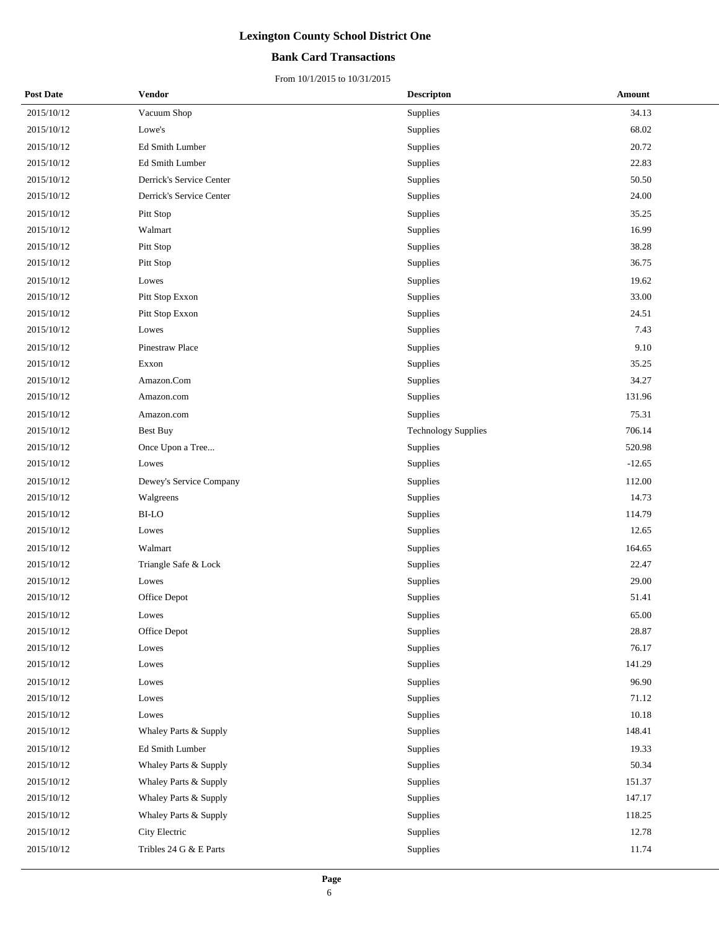### **Bank Card Transactions**

| <b>Post Date</b> | Vendor                   | <b>Descripton</b>          | Amount   |
|------------------|--------------------------|----------------------------|----------|
| 2015/10/12       | Vacuum Shop              | Supplies                   | 34.13    |
| 2015/10/12       | Lowe's                   | Supplies                   | 68.02    |
| 2015/10/12       | Ed Smith Lumber          | Supplies                   | 20.72    |
| 2015/10/12       | Ed Smith Lumber          | Supplies                   | 22.83    |
| 2015/10/12       | Derrick's Service Center | Supplies                   | 50.50    |
| 2015/10/12       | Derrick's Service Center | Supplies                   | 24.00    |
| 2015/10/12       | Pitt Stop                | Supplies                   | 35.25    |
| 2015/10/12       | Walmart                  | Supplies                   | 16.99    |
| 2015/10/12       | Pitt Stop                | Supplies                   | 38.28    |
| 2015/10/12       | Pitt Stop                | Supplies                   | 36.75    |
| 2015/10/12       | Lowes                    | Supplies                   | 19.62    |
| 2015/10/12       | Pitt Stop Exxon          | Supplies                   | 33.00    |
| 2015/10/12       | Pitt Stop Exxon          | Supplies                   | 24.51    |
| 2015/10/12       | Lowes                    | Supplies                   | 7.43     |
| 2015/10/12       | Pinestraw Place          | Supplies                   | 9.10     |
| 2015/10/12       | Exxon                    | Supplies                   | 35.25    |
| 2015/10/12       | Amazon.Com               | Supplies                   | 34.27    |
| 2015/10/12       | Amazon.com               | Supplies                   | 131.96   |
| 2015/10/12       | Amazon.com               | Supplies                   | 75.31    |
| 2015/10/12       | <b>Best Buy</b>          | <b>Technology Supplies</b> | 706.14   |
| 2015/10/12       | Once Upon a Tree         | Supplies                   | 520.98   |
| 2015/10/12       | Lowes                    | Supplies                   | $-12.65$ |
| 2015/10/12       | Dewey's Service Company  | Supplies                   | 112.00   |
| 2015/10/12       | Walgreens                | Supplies                   | 14.73    |
| 2015/10/12       | $_{\rm BI\text{-}LO}$    | Supplies                   | 114.79   |
| 2015/10/12       | Lowes                    | Supplies                   | 12.65    |
| 2015/10/12       | Walmart                  | Supplies                   | 164.65   |
| 2015/10/12       | Triangle Safe & Lock     | Supplies                   | 22.47    |
| $2015/10/12$     | Lowes                    | Supplies                   | 29.00    |
| 2015/10/12       | Office Depot             | Supplies                   | 51.41    |
| 2015/10/12       | Lowes                    | Supplies                   | 65.00    |
| 2015/10/12       | Office Depot             | Supplies                   | 28.87    |
| 2015/10/12       | Lowes                    | Supplies                   | 76.17    |
| 2015/10/12       | Lowes                    | Supplies                   | 141.29   |
| 2015/10/12       | Lowes                    | Supplies                   | 96.90    |
| 2015/10/12       | Lowes                    | Supplies                   | 71.12    |
| 2015/10/12       | Lowes                    | Supplies                   | 10.18    |
| 2015/10/12       | Whaley Parts & Supply    | Supplies                   | 148.41   |
| 2015/10/12       | Ed Smith Lumber          | Supplies                   | 19.33    |
| 2015/10/12       | Whaley Parts & Supply    | Supplies                   | 50.34    |
| 2015/10/12       | Whaley Parts & Supply    | Supplies                   | 151.37   |
| 2015/10/12       | Whaley Parts & Supply    | Supplies                   | 147.17   |
| 2015/10/12       | Whaley Parts & Supply    | Supplies                   | 118.25   |
| 2015/10/12       | City Electric            | Supplies                   | 12.78    |
| 2015/10/12       | Tribles 24 G & E Parts   | Supplies                   | 11.74    |
|                  |                          |                            |          |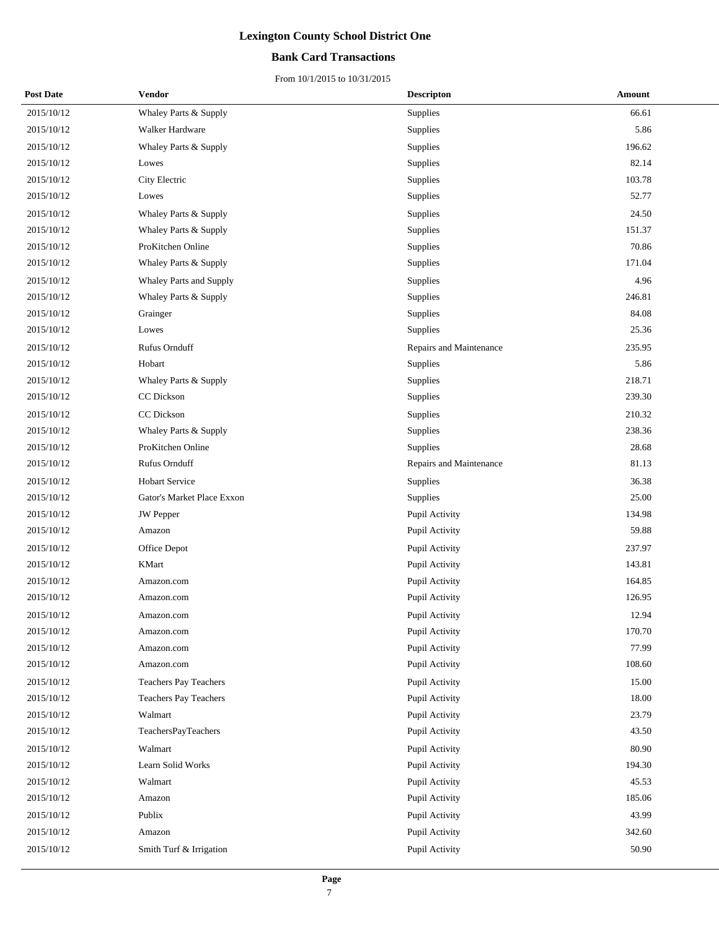### **Bank Card Transactions**

| <b>Post Date</b> | Vendor                     | <b>Descripton</b>       | Amount |
|------------------|----------------------------|-------------------------|--------|
| 2015/10/12       | Whaley Parts & Supply      | Supplies                | 66.61  |
| 2015/10/12       | Walker Hardware            | Supplies                | 5.86   |
| 2015/10/12       | Whaley Parts & Supply      | Supplies                | 196.62 |
| 2015/10/12       | Lowes                      | Supplies                | 82.14  |
| 2015/10/12       | City Electric              | Supplies                | 103.78 |
| 2015/10/12       | Lowes                      | Supplies                | 52.77  |
| 2015/10/12       | Whaley Parts & Supply      | Supplies                | 24.50  |
| 2015/10/12       | Whaley Parts & Supply      | Supplies                | 151.37 |
| 2015/10/12       | ProKitchen Online          | Supplies                | 70.86  |
| 2015/10/12       | Whaley Parts & Supply      | Supplies                | 171.04 |
| 2015/10/12       | Whaley Parts and Supply    | Supplies                | 4.96   |
| 2015/10/12       | Whaley Parts & Supply      | Supplies                | 246.81 |
| 2015/10/12       | Grainger                   | Supplies                | 84.08  |
| 2015/10/12       | Lowes                      | Supplies                | 25.36  |
| 2015/10/12       | Rufus Ornduff              | Repairs and Maintenance | 235.95 |
| 2015/10/12       | Hobart                     | Supplies                | 5.86   |
| 2015/10/12       | Whaley Parts & Supply      | Supplies                | 218.71 |
| 2015/10/12       | CC Dickson                 | Supplies                | 239.30 |
| 2015/10/12       | CC Dickson                 | Supplies                | 210.32 |
| 2015/10/12       | Whaley Parts & Supply      | Supplies                | 238.36 |
| 2015/10/12       | ProKitchen Online          | Supplies                | 28.68  |
| 2015/10/12       | Rufus Ornduff              | Repairs and Maintenance | 81.13  |
| 2015/10/12       | <b>Hobart Service</b>      | Supplies                | 36.38  |
| 2015/10/12       | Gator's Market Place Exxon | Supplies                | 25.00  |
| 2015/10/12       | <b>JW</b> Pepper           | Pupil Activity          | 134.98 |
| 2015/10/12       | Amazon                     | Pupil Activity          | 59.88  |
| 2015/10/12       | Office Depot               | Pupil Activity          | 237.97 |
| 2015/10/12       | KMart                      | Pupil Activity          | 143.81 |
| 2015/10/12       | Amazon.com                 | Pupil Activity          | 164.85 |
| 2015/10/12       | Amazon.com                 | Pupil Activity          | 126.95 |
| 2015/10/12       | Amazon.com                 | <b>Pupil Activity</b>   | 12.94  |
| 2015/10/12       | Amazon.com                 | Pupil Activity          | 170.70 |
| 2015/10/12       | Amazon.com                 | Pupil Activity          | 77.99  |
| 2015/10/12       | Amazon.com                 | Pupil Activity          | 108.60 |
| 2015/10/12       | Teachers Pay Teachers      | Pupil Activity          | 15.00  |
| 2015/10/12       | Teachers Pay Teachers      | Pupil Activity          | 18.00  |
| 2015/10/12       | Walmart                    | Pupil Activity          | 23.79  |
| 2015/10/12       | TeachersPayTeachers        | Pupil Activity          | 43.50  |
| 2015/10/12       | Walmart                    | Pupil Activity          | 80.90  |
| 2015/10/12       | Learn Solid Works          | Pupil Activity          | 194.30 |
| 2015/10/12       | Walmart                    | Pupil Activity          | 45.53  |
| 2015/10/12       | Amazon                     | Pupil Activity          | 185.06 |
| 2015/10/12       | Publix                     | Pupil Activity          | 43.99  |
| 2015/10/12       | Amazon                     | Pupil Activity          | 342.60 |
| 2015/10/12       | Smith Turf & Irrigation    | Pupil Activity          | 50.90  |
|                  |                            |                         |        |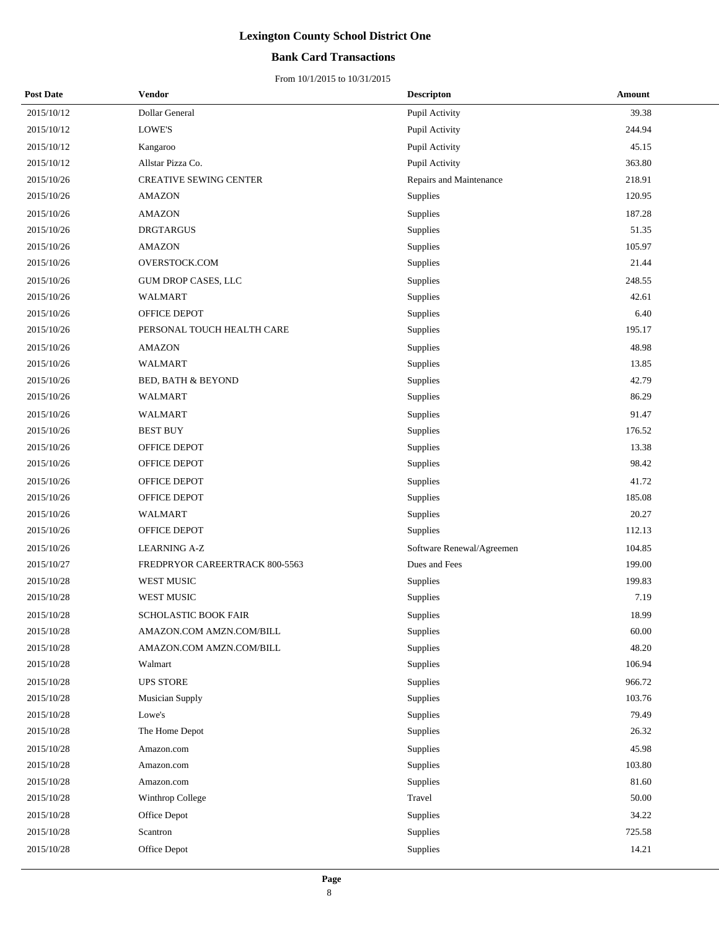### **Bank Card Transactions**

| <b>Post Date</b> | Vendor                         | <b>Descripton</b>         | Amount |
|------------------|--------------------------------|---------------------------|--------|
| 2015/10/12       | Dollar General                 | Pupil Activity            | 39.38  |
| 2015/10/12       | LOWE'S                         | Pupil Activity            | 244.94 |
| 2015/10/12       | Kangaroo                       | Pupil Activity            | 45.15  |
| 2015/10/12       | Allstar Pizza Co.              | Pupil Activity            | 363.80 |
| 2015/10/26       | <b>CREATIVE SEWING CENTER</b>  | Repairs and Maintenance   | 218.91 |
| 2015/10/26       | <b>AMAZON</b>                  | Supplies                  | 120.95 |
| 2015/10/26       | <b>AMAZON</b>                  | Supplies                  | 187.28 |
| 2015/10/26       | <b>DRGTARGUS</b>               | Supplies                  | 51.35  |
| 2015/10/26       | <b>AMAZON</b>                  | Supplies                  | 105.97 |
| 2015/10/26       | OVERSTOCK.COM                  | Supplies                  | 21.44  |
| 2015/10/26       | GUM DROP CASES, LLC            | Supplies                  | 248.55 |
| 2015/10/26       | <b>WALMART</b>                 | Supplies                  | 42.61  |
| 2015/10/26       | OFFICE DEPOT                   | Supplies                  | 6.40   |
| 2015/10/26       | PERSONAL TOUCH HEALTH CARE     | Supplies                  | 195.17 |
| 2015/10/26       | <b>AMAZON</b>                  | Supplies                  | 48.98  |
| 2015/10/26       | <b>WALMART</b>                 | Supplies                  | 13.85  |
| 2015/10/26       | <b>BED, BATH &amp; BEYOND</b>  | Supplies                  | 42.79  |
| 2015/10/26       | WALMART                        | Supplies                  | 86.29  |
| 2015/10/26       | WALMART                        | Supplies                  | 91.47  |
| 2015/10/26       | <b>BEST BUY</b>                | Supplies                  | 176.52 |
| 2015/10/26       | OFFICE DEPOT                   | Supplies                  | 13.38  |
| 2015/10/26       | OFFICE DEPOT                   | Supplies                  | 98.42  |
| 2015/10/26       | OFFICE DEPOT                   | Supplies                  | 41.72  |
| 2015/10/26       | OFFICE DEPOT                   | Supplies                  | 185.08 |
| 2015/10/26       | WALMART                        | Supplies                  | 20.27  |
| 2015/10/26       | OFFICE DEPOT                   | Supplies                  | 112.13 |
| 2015/10/26       | <b>LEARNING A-Z</b>            | Software Renewal/Agreemen | 104.85 |
| 2015/10/27       | FREDPRYOR CAREERTRACK 800-5563 | Dues and Fees             | 199.00 |
| 2015/10/28       | WEST MUSIC                     | Supplies                  | 199.83 |
| 2015/10/28       | WEST MUSIC                     | Supplies                  | 7.19   |
| 2015/10/28       | <b>SCHOLASTIC BOOK FAIR</b>    | Supplies                  | 18.99  |
| 2015/10/28       | AMAZON.COM AMZN.COM/BILL       | Supplies                  | 60.00  |
| 2015/10/28       | AMAZON.COM AMZN.COM/BILL       | Supplies                  | 48.20  |
| 2015/10/28       | Walmart                        | Supplies                  | 106.94 |
| 2015/10/28       | UPS STORE                      | Supplies                  | 966.72 |
| 2015/10/28       | Musician Supply                | Supplies                  | 103.76 |
| 2015/10/28       | Lowe's                         | Supplies                  | 79.49  |
| 2015/10/28       | The Home Depot                 | Supplies                  | 26.32  |
| 2015/10/28       | Amazon.com                     | Supplies                  | 45.98  |
| 2015/10/28       | Amazon.com                     | Supplies                  | 103.80 |
| 2015/10/28       | Amazon.com                     | Supplies                  | 81.60  |
| 2015/10/28       | Winthrop College               | Travel                    | 50.00  |
| 2015/10/28       | Office Depot                   | Supplies                  | 34.22  |
| 2015/10/28       | Scantron                       | Supplies                  | 725.58 |
| 2015/10/28       | Office Depot                   | Supplies                  | 14.21  |
|                  |                                |                           |        |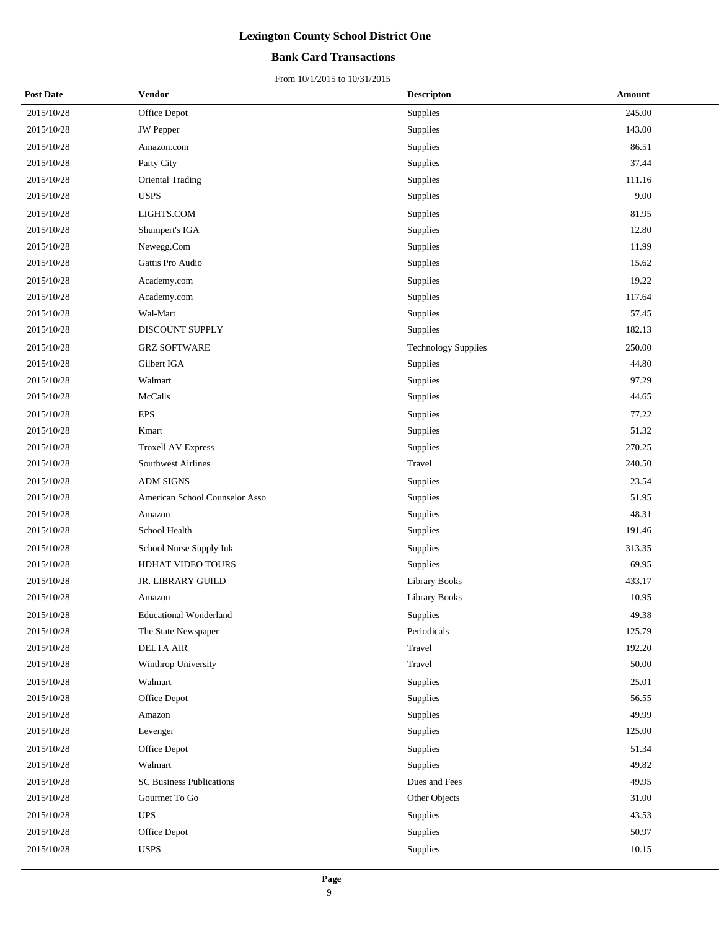### **Bank Card Transactions**

| <b>Post Date</b> | <b>Vendor</b>                   | <b>Descripton</b>          | Amount |
|------------------|---------------------------------|----------------------------|--------|
| 2015/10/28       | Office Depot                    | Supplies                   | 245.00 |
| 2015/10/28       | <b>JW</b> Pepper                | Supplies                   | 143.00 |
| 2015/10/28       | Amazon.com                      | Supplies                   | 86.51  |
| 2015/10/28       | Party City                      | Supplies                   | 37.44  |
| 2015/10/28       | Oriental Trading                | Supplies                   | 111.16 |
| 2015/10/28       | <b>USPS</b>                     | Supplies                   | 9.00   |
| 2015/10/28       | LIGHTS.COM                      | Supplies                   | 81.95  |
| 2015/10/28       | Shumpert's IGA                  | Supplies                   | 12.80  |
| 2015/10/28       | Newegg.Com                      | Supplies                   | 11.99  |
| 2015/10/28       | Gattis Pro Audio                | Supplies                   | 15.62  |
| 2015/10/28       | Academy.com                     | Supplies                   | 19.22  |
| 2015/10/28       | Academy.com                     | Supplies                   | 117.64 |
| 2015/10/28       | Wal-Mart                        | Supplies                   | 57.45  |
| 2015/10/28       | DISCOUNT SUPPLY                 | Supplies                   | 182.13 |
| 2015/10/28       | <b>GRZ SOFTWARE</b>             | <b>Technology Supplies</b> | 250.00 |
| 2015/10/28       | Gilbert IGA                     | Supplies                   | 44.80  |
| 2015/10/28       | Walmart                         | Supplies                   | 97.29  |
| 2015/10/28       | McCalls                         | Supplies                   | 44.65  |
| 2015/10/28       | <b>EPS</b>                      | Supplies                   | 77.22  |
| 2015/10/28       | Kmart                           | Supplies                   | 51.32  |
| 2015/10/28       | <b>Troxell AV Express</b>       | Supplies                   | 270.25 |
| 2015/10/28       | <b>Southwest Airlines</b>       | Travel                     | 240.50 |
| 2015/10/28       | <b>ADM SIGNS</b>                | Supplies                   | 23.54  |
| 2015/10/28       | American School Counselor Asso  | Supplies                   | 51.95  |
| 2015/10/28       | Amazon                          | Supplies                   | 48.31  |
| 2015/10/28       | School Health                   | Supplies                   | 191.46 |
| 2015/10/28       | School Nurse Supply Ink         | Supplies                   | 313.35 |
| 2015/10/28       | HDHAT VIDEO TOURS               | Supplies                   | 69.95  |
| 2015/10/28       | JR. LIBRARY GUILD               | Library Books              | 433.17 |
| 2015/10/28       | Amazon                          | Library Books              | 10.95  |
| 2015/10/28       | <b>Educational Wonderland</b>   | Supplies                   | 49.38  |
| 2015/10/28       | The State Newspaper             | Periodicals                | 125.79 |
| 2015/10/28       | <b>DELTA AIR</b>                | Travel                     | 192.20 |
| 2015/10/28       | Winthrop University             | Travel                     | 50.00  |
| 2015/10/28       | Walmart                         | Supplies                   | 25.01  |
| 2015/10/28       | Office Depot                    | Supplies                   | 56.55  |
| 2015/10/28       | Amazon                          | Supplies                   | 49.99  |
| 2015/10/28       | Levenger                        | Supplies                   | 125.00 |
| 2015/10/28       | Office Depot                    | Supplies                   | 51.34  |
| 2015/10/28       | Walmart                         | Supplies                   | 49.82  |
| 2015/10/28       | <b>SC Business Publications</b> | Dues and Fees              | 49.95  |
| 2015/10/28       | Gourmet To Go                   | Other Objects              | 31.00  |
| 2015/10/28       | <b>UPS</b>                      | Supplies                   | 43.53  |
| 2015/10/28       | Office Depot                    | Supplies                   | 50.97  |
| 2015/10/28       | <b>USPS</b>                     | Supplies                   | 10.15  |
|                  |                                 |                            |        |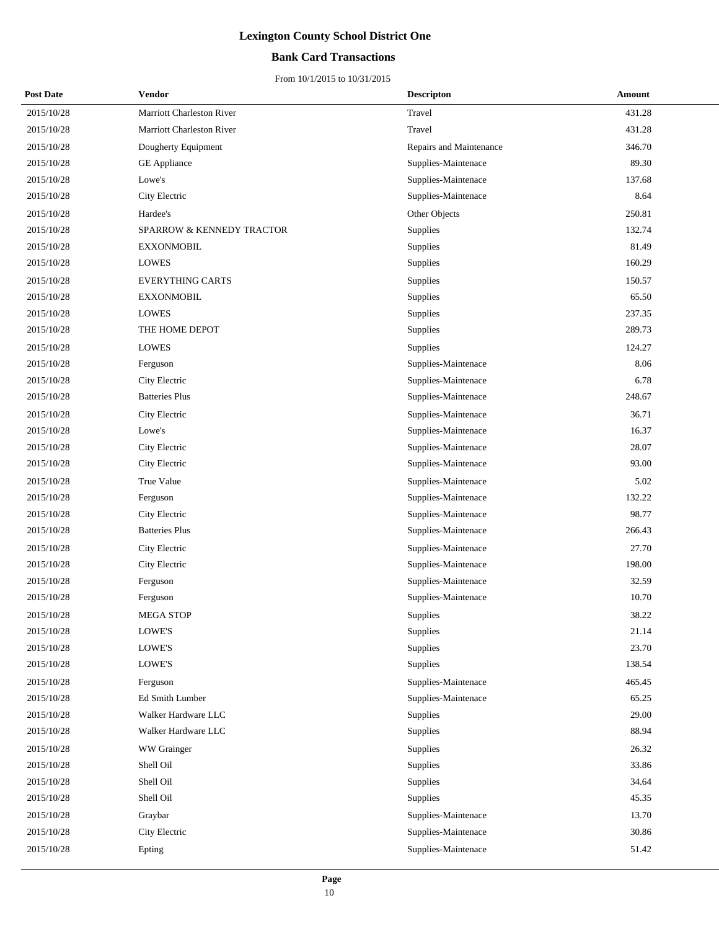### **Bank Card Transactions**

| <b>Post Date</b> | Vendor                    | <b>Descripton</b>       | Amount |
|------------------|---------------------------|-------------------------|--------|
| 2015/10/28       | Marriott Charleston River | Travel                  | 431.28 |
| 2015/10/28       | Marriott Charleston River | Travel                  | 431.28 |
| 2015/10/28       | Dougherty Equipment       | Repairs and Maintenance | 346.70 |
| 2015/10/28       | <b>GE</b> Appliance       | Supplies-Maintenace     | 89.30  |
| 2015/10/28       | Lowe's                    | Supplies-Maintenace     | 137.68 |
| 2015/10/28       | City Electric             | Supplies-Maintenace     | 8.64   |
| 2015/10/28       | Hardee's                  | Other Objects           | 250.81 |
| 2015/10/28       | SPARROW & KENNEDY TRACTOR | Supplies                | 132.74 |
| 2015/10/28       | <b>EXXONMOBIL</b>         | Supplies                | 81.49  |
| 2015/10/28       | <b>LOWES</b>              | Supplies                | 160.29 |
| 2015/10/28       | <b>EVERYTHING CARTS</b>   | Supplies                | 150.57 |
| 2015/10/28       | <b>EXXONMOBIL</b>         | Supplies                | 65.50  |
| 2015/10/28       | <b>LOWES</b>              | Supplies                | 237.35 |
| 2015/10/28       | THE HOME DEPOT            | Supplies                | 289.73 |
| 2015/10/28       | LOWES                     | Supplies                | 124.27 |
| 2015/10/28       | Ferguson                  | Supplies-Maintenace     | 8.06   |
| 2015/10/28       | City Electric             | Supplies-Maintenace     | 6.78   |
| 2015/10/28       | <b>Batteries Plus</b>     | Supplies-Maintenace     | 248.67 |
| 2015/10/28       | City Electric             | Supplies-Maintenace     | 36.71  |
| 2015/10/28       | Lowe's                    | Supplies-Maintenace     | 16.37  |
| 2015/10/28       | City Electric             | Supplies-Maintenace     | 28.07  |
| 2015/10/28       | City Electric             | Supplies-Maintenace     | 93.00  |
| 2015/10/28       | True Value                | Supplies-Maintenace     | 5.02   |
| 2015/10/28       | Ferguson                  | Supplies-Maintenace     | 132.22 |
| 2015/10/28       | City Electric             | Supplies-Maintenace     | 98.77  |
| 2015/10/28       | <b>Batteries Plus</b>     | Supplies-Maintenace     | 266.43 |
| 2015/10/28       | City Electric             | Supplies-Maintenace     | 27.70  |
| 2015/10/28       | City Electric             | Supplies-Maintenace     | 198.00 |
| 2015/10/28       | Ferguson                  | Supplies-Maintenace     | 32.59  |
| 2015/10/28       | Ferguson                  | Supplies-Maintenace     | 10.70  |
| 2015/10/28       | <b>MEGA STOP</b>          | Supplies                | 38.22  |
| 2015/10/28       | LOWE'S                    | Supplies                | 21.14  |
| 2015/10/28       | LOWE'S                    | Supplies                | 23.70  |
| 2015/10/28       | LOWE'S                    | Supplies                | 138.54 |
| 2015/10/28       | Ferguson                  | Supplies-Maintenace     | 465.45 |
| 2015/10/28       | Ed Smith Lumber           | Supplies-Maintenace     | 65.25  |
| 2015/10/28       | Walker Hardware LLC       | Supplies                | 29.00  |
| 2015/10/28       | Walker Hardware LLC       | Supplies                | 88.94  |
| 2015/10/28       | WW Grainger               | Supplies                | 26.32  |
| 2015/10/28       | Shell Oil                 | Supplies                | 33.86  |
| 2015/10/28       | Shell Oil                 | Supplies                | 34.64  |
| 2015/10/28       | Shell Oil                 | Supplies                | 45.35  |
| 2015/10/28       | Graybar                   | Supplies-Maintenace     | 13.70  |
| 2015/10/28       | City Electric             | Supplies-Maintenace     | 30.86  |
| 2015/10/28       | Epting                    | Supplies-Maintenace     | 51.42  |
|                  |                           |                         |        |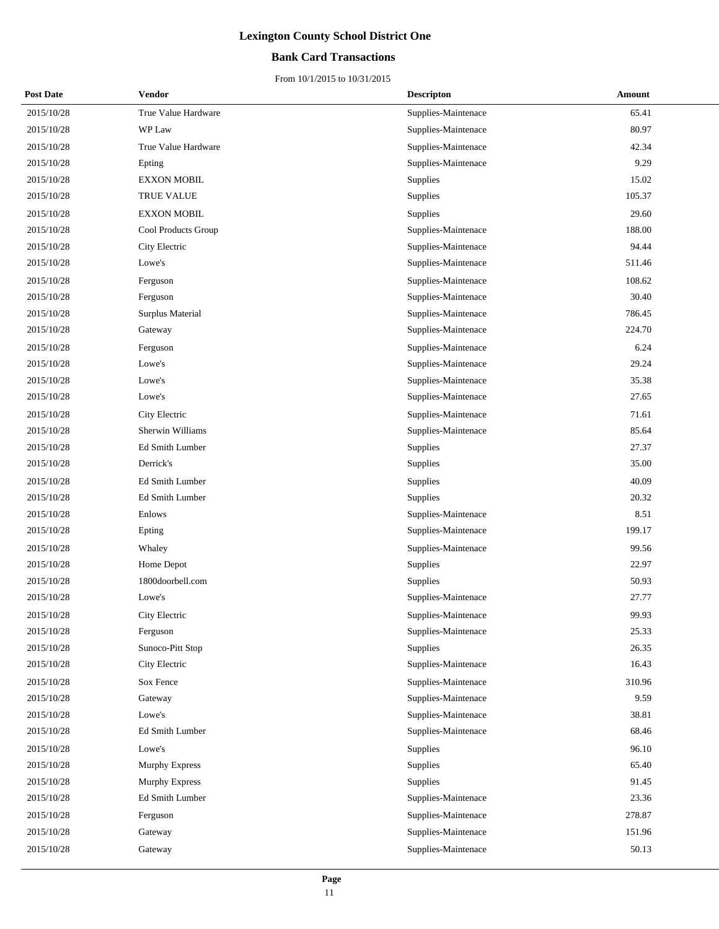### **Bank Card Transactions**

| <b>Post Date</b> | Vendor              | <b>Descripton</b>   | Amount |
|------------------|---------------------|---------------------|--------|
| 2015/10/28       | True Value Hardware | Supplies-Maintenace | 65.41  |
| 2015/10/28       | WP Law              | Supplies-Maintenace | 80.97  |
| 2015/10/28       | True Value Hardware | Supplies-Maintenace | 42.34  |
| 2015/10/28       | Epting              | Supplies-Maintenace | 9.29   |
| 2015/10/28       | <b>EXXON MOBIL</b>  | Supplies            | 15.02  |
| 2015/10/28       | <b>TRUE VALUE</b>   | Supplies            | 105.37 |
| 2015/10/28       | <b>EXXON MOBIL</b>  | Supplies            | 29.60  |
| 2015/10/28       | Cool Products Group | Supplies-Maintenace | 188.00 |
| 2015/10/28       | City Electric       | Supplies-Maintenace | 94.44  |
| 2015/10/28       | Lowe's              | Supplies-Maintenace | 511.46 |
| 2015/10/28       | Ferguson            | Supplies-Maintenace | 108.62 |
| 2015/10/28       | Ferguson            | Supplies-Maintenace | 30.40  |
| 2015/10/28       | Surplus Material    | Supplies-Maintenace | 786.45 |
| 2015/10/28       | Gateway             | Supplies-Maintenace | 224.70 |
| 2015/10/28       | Ferguson            | Supplies-Maintenace | 6.24   |
| 2015/10/28       | Lowe's              | Supplies-Maintenace | 29.24  |
| 2015/10/28       | Lowe's              | Supplies-Maintenace | 35.38  |
| 2015/10/28       | Lowe's              | Supplies-Maintenace | 27.65  |
| 2015/10/28       | City Electric       | Supplies-Maintenace | 71.61  |
| 2015/10/28       | Sherwin Williams    | Supplies-Maintenace | 85.64  |
| 2015/10/28       | Ed Smith Lumber     | Supplies            | 27.37  |
| 2015/10/28       | Derrick's           | Supplies            | 35.00  |
| 2015/10/28       | Ed Smith Lumber     | Supplies            | 40.09  |
| 2015/10/28       | Ed Smith Lumber     | Supplies            | 20.32  |
| 2015/10/28       | Enlows              | Supplies-Maintenace | 8.51   |
| 2015/10/28       | Epting              | Supplies-Maintenace | 199.17 |
| 2015/10/28       | Whaley              | Supplies-Maintenace | 99.56  |
| 2015/10/28       | Home Depot          | Supplies            | 22.97  |
| 2015/10/28       | 1800doorbell.com    | Supplies            | 50.93  |
| 2015/10/28       | Lowe's              | Supplies-Maintenace | 27.77  |
| 2015/10/28       | City Electric       | Supplies-Maintenace | 99.93  |
| 2015/10/28       | Ferguson            | Supplies-Maintenace | 25.33  |
| 2015/10/28       | Sunoco-Pitt Stop    | <b>Supplies</b>     | 26.35  |
| 2015/10/28       | City Electric       | Supplies-Maintenace | 16.43  |
| 2015/10/28       | Sox Fence           | Supplies-Maintenace | 310.96 |
| 2015/10/28       | Gateway             | Supplies-Maintenace | 9.59   |
| 2015/10/28       | Lowe's              | Supplies-Maintenace | 38.81  |
| 2015/10/28       | Ed Smith Lumber     | Supplies-Maintenace | 68.46  |
| 2015/10/28       | Lowe's              | Supplies            | 96.10  |
| 2015/10/28       | Murphy Express      | Supplies            | 65.40  |
| 2015/10/28       | Murphy Express      | Supplies            | 91.45  |
| 2015/10/28       | Ed Smith Lumber     | Supplies-Maintenace | 23.36  |
| 2015/10/28       | Ferguson            | Supplies-Maintenace | 278.87 |
| 2015/10/28       | Gateway             | Supplies-Maintenace | 151.96 |
| 2015/10/28       | Gateway             | Supplies-Maintenace | 50.13  |
|                  |                     |                     |        |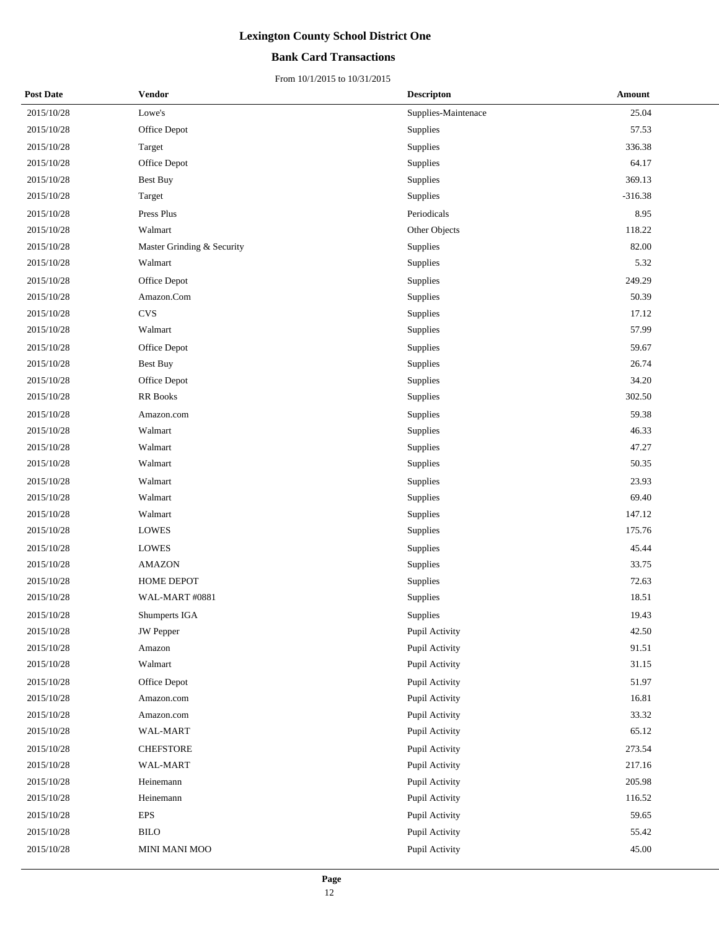### **Bank Card Transactions**

| <b>Post Date</b> | Vendor                     | <b>Descripton</b>   | Amount    |
|------------------|----------------------------|---------------------|-----------|
| 2015/10/28       | Lowe's                     | Supplies-Maintenace | 25.04     |
| 2015/10/28       | Office Depot               | Supplies            | 57.53     |
| 2015/10/28       | Target                     | Supplies            | 336.38    |
| 2015/10/28       | Office Depot               | Supplies            | 64.17     |
| 2015/10/28       | Best Buy                   | Supplies            | 369.13    |
| 2015/10/28       | Target                     | Supplies            | $-316.38$ |
| 2015/10/28       | Press Plus                 | Periodicals         | 8.95      |
| 2015/10/28       | Walmart                    | Other Objects       | 118.22    |
| 2015/10/28       | Master Grinding & Security | Supplies            | 82.00     |
| 2015/10/28       | Walmart                    | Supplies            | 5.32      |
| 2015/10/28       | Office Depot               | Supplies            | 249.29    |
| 2015/10/28       | Amazon.Com                 | Supplies            | 50.39     |
| 2015/10/28       | <b>CVS</b>                 | Supplies            | 17.12     |
| 2015/10/28       | Walmart                    | Supplies            | 57.99     |
| 2015/10/28       | Office Depot               | Supplies            | 59.67     |
| 2015/10/28       | <b>Best Buy</b>            | Supplies            | 26.74     |
| 2015/10/28       | Office Depot               | Supplies            | 34.20     |
| 2015/10/28       | <b>RR</b> Books            | Supplies            | 302.50    |
| 2015/10/28       | Amazon.com                 | Supplies            | 59.38     |
| 2015/10/28       | Walmart                    | Supplies            | 46.33     |
| 2015/10/28       | Walmart                    | Supplies            | 47.27     |
| 2015/10/28       | Walmart                    | Supplies            | 50.35     |
| 2015/10/28       | Walmart                    | Supplies            | 23.93     |
| 2015/10/28       | Walmart                    | Supplies            | 69.40     |
| 2015/10/28       | Walmart                    | Supplies            | 147.12    |
| 2015/10/28       | <b>LOWES</b>               | Supplies            | 175.76    |
| 2015/10/28       | <b>LOWES</b>               | Supplies            | 45.44     |
| 2015/10/28       | <b>AMAZON</b>              | Supplies            | 33.75     |
| 2015/10/28       | HOME DEPOT                 | Supplies            | 72.63     |
| 2015/10/28       | WAL-MART #0881             | Supplies            | 18.51     |
| 2015/10/28       | Shumperts IGA              | Supplies            | 19.43     |
| 2015/10/28       | JW Pepper                  | Pupil Activity      | 42.50     |
| 2015/10/28       | Amazon                     | Pupil Activity      | 91.51     |
| 2015/10/28       | Walmart                    | Pupil Activity      | 31.15     |
| 2015/10/28       | Office Depot               | Pupil Activity      | 51.97     |
| 2015/10/28       | Amazon.com                 | Pupil Activity      | 16.81     |
| 2015/10/28       | Amazon.com                 | Pupil Activity      | 33.32     |
| 2015/10/28       | WAL-MART                   | Pupil Activity      | 65.12     |
| 2015/10/28       | <b>CHEFSTORE</b>           | Pupil Activity      | 273.54    |
| 2015/10/28       | WAL-MART                   | Pupil Activity      | 217.16    |
| 2015/10/28       | Heinemann                  | Pupil Activity      | 205.98    |
| 2015/10/28       | Heinemann                  | Pupil Activity      | 116.52    |
| 2015/10/28       | EPS                        | Pupil Activity      | 59.65     |
| 2015/10/28       | <b>BILO</b>                | Pupil Activity      | 55.42     |
| 2015/10/28       | MINI MANI MOO              | Pupil Activity      | 45.00     |
|                  |                            |                     |           |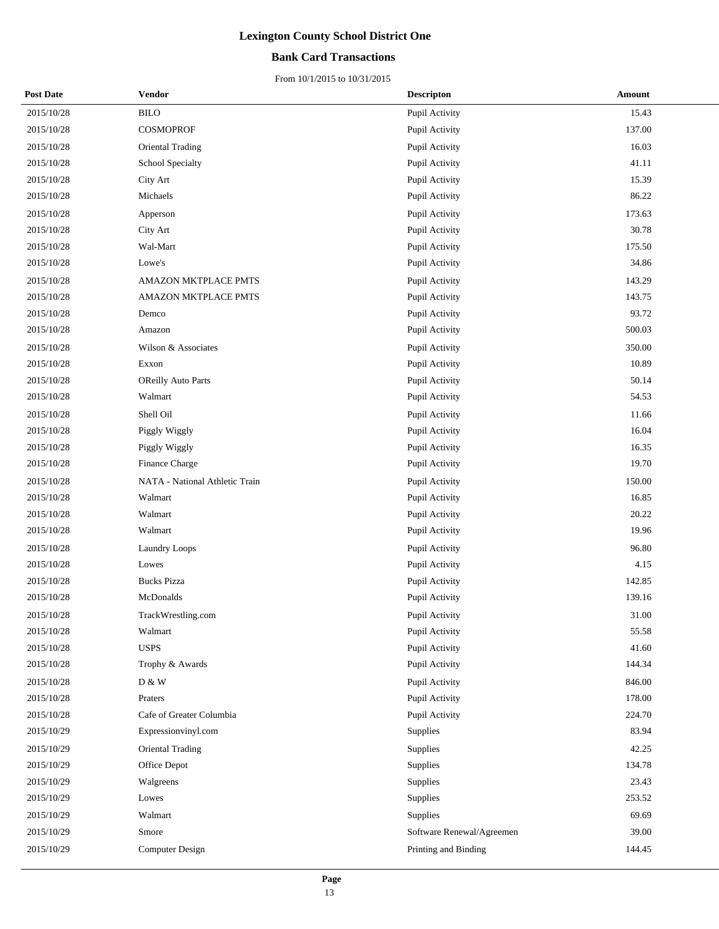### **Bank Card Transactions**

| <b>Post Date</b> | Vendor                         | <b>Descripton</b>         | Amount |
|------------------|--------------------------------|---------------------------|--------|
| 2015/10/28       | <b>BILO</b>                    | Pupil Activity            | 15.43  |
| 2015/10/28       | COSMOPROF                      | Pupil Activity            | 137.00 |
| 2015/10/28       | <b>Oriental Trading</b>        | Pupil Activity            | 16.03  |
| 2015/10/28       | School Specialty               | Pupil Activity            | 41.11  |
| 2015/10/28       | City Art                       | Pupil Activity            | 15.39  |
| 2015/10/28       | Michaels                       | Pupil Activity            | 86.22  |
| 2015/10/28       | Apperson                       | Pupil Activity            | 173.63 |
| 2015/10/28       | City Art                       | Pupil Activity            | 30.78  |
| 2015/10/28       | Wal-Mart                       | Pupil Activity            | 175.50 |
| 2015/10/28       | Lowe's                         | Pupil Activity            | 34.86  |
| 2015/10/28       | AMAZON MKTPLACE PMTS           | Pupil Activity            | 143.29 |
| 2015/10/28       | AMAZON MKTPLACE PMTS           | Pupil Activity            | 143.75 |
| 2015/10/28       | Demco                          | Pupil Activity            | 93.72  |
| 2015/10/28       | Amazon                         | Pupil Activity            | 500.03 |
| 2015/10/28       | Wilson & Associates            | Pupil Activity            | 350.00 |
| 2015/10/28       | Exxon                          | Pupil Activity            | 10.89  |
| 2015/10/28       | OReilly Auto Parts             | Pupil Activity            | 50.14  |
| 2015/10/28       | Walmart                        | Pupil Activity            | 54.53  |
| 2015/10/28       | Shell Oil                      | Pupil Activity            | 11.66  |
| 2015/10/28       | Piggly Wiggly                  | Pupil Activity            | 16.04  |
| 2015/10/28       | Piggly Wiggly                  | Pupil Activity            | 16.35  |
| 2015/10/28       | Finance Charge                 | Pupil Activity            | 19.70  |
| 2015/10/28       | NATA - National Athletic Train | Pupil Activity            | 150.00 |
| 2015/10/28       | Walmart                        | Pupil Activity            | 16.85  |
| 2015/10/28       | Walmart                        | Pupil Activity            | 20.22  |
| 2015/10/28       | Walmart                        | Pupil Activity            | 19.96  |
| 2015/10/28       | <b>Laundry Loops</b>           | Pupil Activity            | 96.80  |
| 2015/10/28       | Lowes                          | Pupil Activity            | 4.15   |
| 2015/10/28       | <b>Bucks Pizza</b>             | Pupil Activity            | 142.85 |
| 2015/10/28       | McDonalds                      | Pupil Activity            | 139.16 |
| 2015/10/28       | TrackWrestling.com             | Pupil Activity            | 31.00  |
| 2015/10/28       | Walmart                        | Pupil Activity            | 55.58  |
| 2015/10/28       | $_{\rm USPS}$                  | Pupil Activity            | 41.60  |
| 2015/10/28       | Trophy & Awards                | Pupil Activity            | 144.34 |
| 2015/10/28       | D & W                          | Pupil Activity            | 846.00 |
| 2015/10/28       | Praters                        | Pupil Activity            | 178.00 |
| 2015/10/28       | Cafe of Greater Columbia       | Pupil Activity            | 224.70 |
| 2015/10/29       | Expressionvinyl.com            | Supplies                  | 83.94  |
| 2015/10/29       | Oriental Trading               | Supplies                  | 42.25  |
| 2015/10/29       | Office Depot                   | Supplies                  | 134.78 |
| 2015/10/29       | Walgreens                      | <b>Supplies</b>           | 23.43  |
| 2015/10/29       | Lowes                          | Supplies                  | 253.52 |
| 2015/10/29       | Walmart                        | Supplies                  | 69.69  |
| 2015/10/29       | Smore                          | Software Renewal/Agreemen | 39.00  |
| 2015/10/29       | <b>Computer Design</b>         | Printing and Binding      | 144.45 |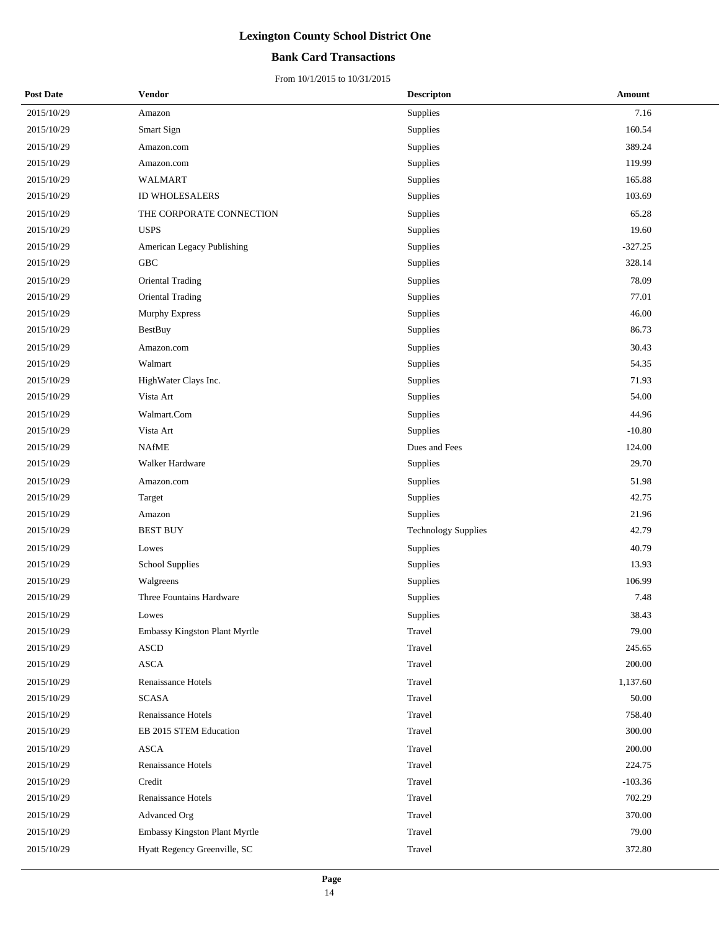### **Bank Card Transactions**

| <b>Post Date</b> | Vendor                        | <b>Descripton</b>          | Amount    |
|------------------|-------------------------------|----------------------------|-----------|
| 2015/10/29       | Amazon                        | Supplies                   | 7.16      |
| 2015/10/29       | Smart Sign                    | Supplies                   | 160.54    |
| 2015/10/29       | Amazon.com                    | Supplies                   | 389.24    |
| 2015/10/29       | Amazon.com                    | Supplies                   | 119.99    |
| 2015/10/29       | <b>WALMART</b>                | Supplies                   | 165.88    |
| 2015/10/29       | ID WHOLESALERS                | Supplies                   | 103.69    |
| 2015/10/29       | THE CORPORATE CONNECTION      | Supplies                   | 65.28     |
| 2015/10/29       | <b>USPS</b>                   | Supplies                   | 19.60     |
| 2015/10/29       | American Legacy Publishing    | Supplies                   | $-327.25$ |
| 2015/10/29       | GBC                           | Supplies                   | 328.14    |
| 2015/10/29       | Oriental Trading              | Supplies                   | 78.09     |
| 2015/10/29       | <b>Oriental Trading</b>       | Supplies                   | 77.01     |
| 2015/10/29       | Murphy Express                | Supplies                   | 46.00     |
| 2015/10/29       | <b>BestBuy</b>                | Supplies                   | 86.73     |
| 2015/10/29       | Amazon.com                    | Supplies                   | 30.43     |
| 2015/10/29       | Walmart                       | Supplies                   | 54.35     |
| 2015/10/29       | HighWater Clays Inc.          | Supplies                   | 71.93     |
| 2015/10/29       | Vista Art                     | Supplies                   | 54.00     |
| 2015/10/29       | Walmart.Com                   | Supplies                   | 44.96     |
| 2015/10/29       | Vista Art                     | Supplies                   | $-10.80$  |
| 2015/10/29       | <b>NAfME</b>                  | Dues and Fees              | 124.00    |
| 2015/10/29       | Walker Hardware               | Supplies                   | 29.70     |
| 2015/10/29       | Amazon.com                    | Supplies                   | 51.98     |
| 2015/10/29       | Target                        | Supplies                   | 42.75     |
| 2015/10/29       | Amazon                        | Supplies                   | 21.96     |
| 2015/10/29       | <b>BEST BUY</b>               | <b>Technology Supplies</b> | 42.79     |
| 2015/10/29       | Lowes                         | Supplies                   | 40.79     |
| 2015/10/29       | <b>School Supplies</b>        | Supplies                   | 13.93     |
| 2015/10/29       | Walgreens                     | Supplies                   | 106.99    |
| 2015/10/29       | Three Fountains Hardware      | Supplies                   | 7.48      |
| 2015/10/29       | Lowes                         | Supplies                   | 38.43     |
| 2015/10/29       | Embassy Kingston Plant Myrtle | Travel                     | 79.00     |
| 2015/10/29       | <b>ASCD</b>                   | Travel                     | 245.65    |
| 2015/10/29       | <b>ASCA</b>                   | Travel                     | 200.00    |
| 2015/10/29       | Renaissance Hotels            | Travel                     | 1,137.60  |
| 2015/10/29       | <b>SCASA</b>                  | Travel                     | 50.00     |
| 2015/10/29       | Renaissance Hotels            | Travel                     | 758.40    |
| 2015/10/29       | EB 2015 STEM Education        | Travel                     | 300.00    |
| 2015/10/29       | <b>ASCA</b>                   | Travel                     | 200.00    |
| 2015/10/29       | Renaissance Hotels            | Travel                     | 224.75    |
| 2015/10/29       | Credit                        | Travel                     | $-103.36$ |
| 2015/10/29       | Renaissance Hotels            | Travel                     | 702.29    |
| 2015/10/29       | Advanced Org                  | Travel                     | 370.00    |
| 2015/10/29       | Embassy Kingston Plant Myrtle | Travel                     | 79.00     |
| 2015/10/29       | Hyatt Regency Greenville, SC  | Travel                     | 372.80    |
|                  |                               |                            |           |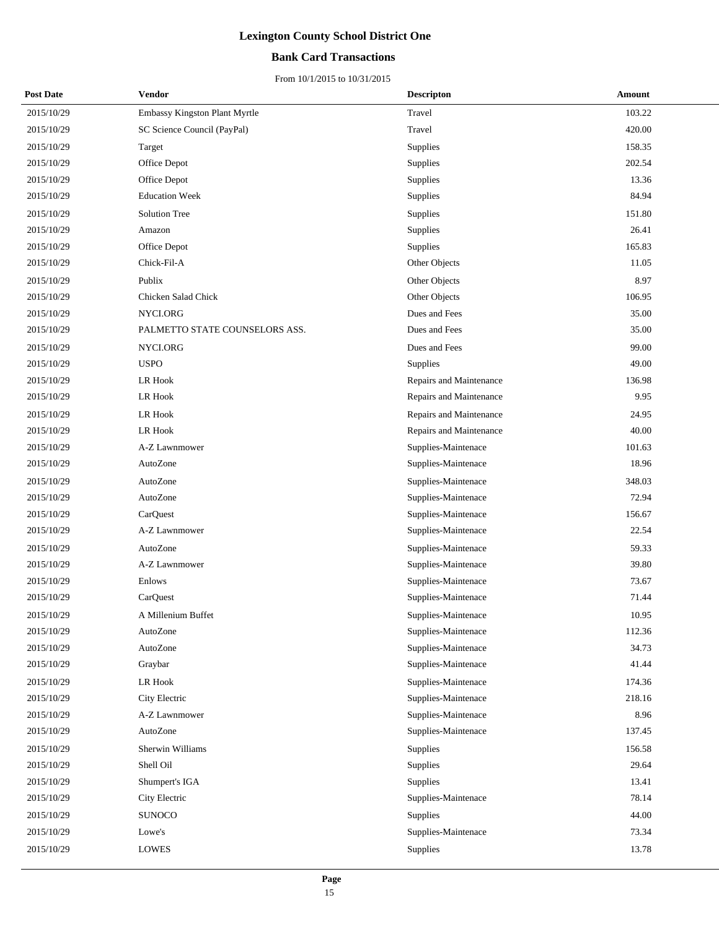### **Bank Card Transactions**

| <b>Post Date</b> | <b>Vendor</b>                  | <b>Descripton</b>       | Amount |
|------------------|--------------------------------|-------------------------|--------|
| 2015/10/29       | Embassy Kingston Plant Myrtle  | Travel                  | 103.22 |
| 2015/10/29       | SC Science Council (PayPal)    | Travel                  | 420.00 |
| 2015/10/29       | Target                         | Supplies                | 158.35 |
| 2015/10/29       | Office Depot                   | Supplies                | 202.54 |
| 2015/10/29       | Office Depot                   | Supplies                | 13.36  |
| 2015/10/29       | <b>Education Week</b>          | Supplies                | 84.94  |
| 2015/10/29       | <b>Solution Tree</b>           | Supplies                | 151.80 |
| 2015/10/29       | Amazon                         | Supplies                | 26.41  |
| 2015/10/29       | Office Depot                   | Supplies                | 165.83 |
| 2015/10/29       | Chick-Fil-A                    | Other Objects           | 11.05  |
| 2015/10/29       | Publix                         | Other Objects           | 8.97   |
| 2015/10/29       | Chicken Salad Chick            | Other Objects           | 106.95 |
| 2015/10/29       | NYCI.ORG                       | Dues and Fees           | 35.00  |
| 2015/10/29       | PALMETTO STATE COUNSELORS ASS. | Dues and Fees           | 35.00  |
| 2015/10/29       | NYCI.ORG                       | Dues and Fees           | 99.00  |
| 2015/10/29       | <b>USPO</b>                    | Supplies                | 49.00  |
| 2015/10/29       | LR Hook                        | Repairs and Maintenance | 136.98 |
| 2015/10/29       | LR Hook                        | Repairs and Maintenance | 9.95   |
| 2015/10/29       | LR Hook                        | Repairs and Maintenance | 24.95  |
| 2015/10/29       | <b>LR Hook</b>                 | Repairs and Maintenance | 40.00  |
| 2015/10/29       | A-Z Lawnmower                  | Supplies-Maintenace     | 101.63 |
| 2015/10/29       | AutoZone                       | Supplies-Maintenace     | 18.96  |
| 2015/10/29       | AutoZone                       | Supplies-Maintenace     | 348.03 |
| 2015/10/29       | AutoZone                       | Supplies-Maintenace     | 72.94  |
| 2015/10/29       | CarQuest                       | Supplies-Maintenace     | 156.67 |
| 2015/10/29       | A-Z Lawnmower                  | Supplies-Maintenace     | 22.54  |
| 2015/10/29       | AutoZone                       | Supplies-Maintenace     | 59.33  |
| 2015/10/29       | A-Z Lawnmower                  | Supplies-Maintenace     | 39.80  |
| 2015/10/29       | Enlows                         | Supplies-Maintenace     | 73.67  |
| 2015/10/29       | CarQuest                       | Supplies-Maintenace     | 71.44  |
| 2015/10/29       | A Millenium Buffet             | Supplies-Maintenace     | 10.95  |
| 2015/10/29       | AutoZone                       | Supplies-Maintenace     | 112.36 |
| 2015/10/29       | AutoZone                       | Supplies-Maintenace     | 34.73  |
| 2015/10/29       | Graybar                        | Supplies-Maintenace     | 41.44  |
| 2015/10/29       | LR Hook                        | Supplies-Maintenace     | 174.36 |
| 2015/10/29       | City Electric                  | Supplies-Maintenace     | 218.16 |
| 2015/10/29       | A-Z Lawnmower                  | Supplies-Maintenace     | 8.96   |
| 2015/10/29       | AutoZone                       | Supplies-Maintenace     | 137.45 |
| 2015/10/29       | Sherwin Williams               | Supplies                | 156.58 |
| 2015/10/29       | Shell Oil                      | Supplies                | 29.64  |
| 2015/10/29       | Shumpert's IGA                 | Supplies                | 13.41  |
| 2015/10/29       | City Electric                  | Supplies-Maintenace     | 78.14  |
| 2015/10/29       | <b>SUNOCO</b>                  | Supplies                | 44.00  |
| 2015/10/29       | Lowe's                         | Supplies-Maintenace     | 73.34  |
| 2015/10/29       | <b>LOWES</b>                   | Supplies                | 13.78  |
|                  |                                |                         |        |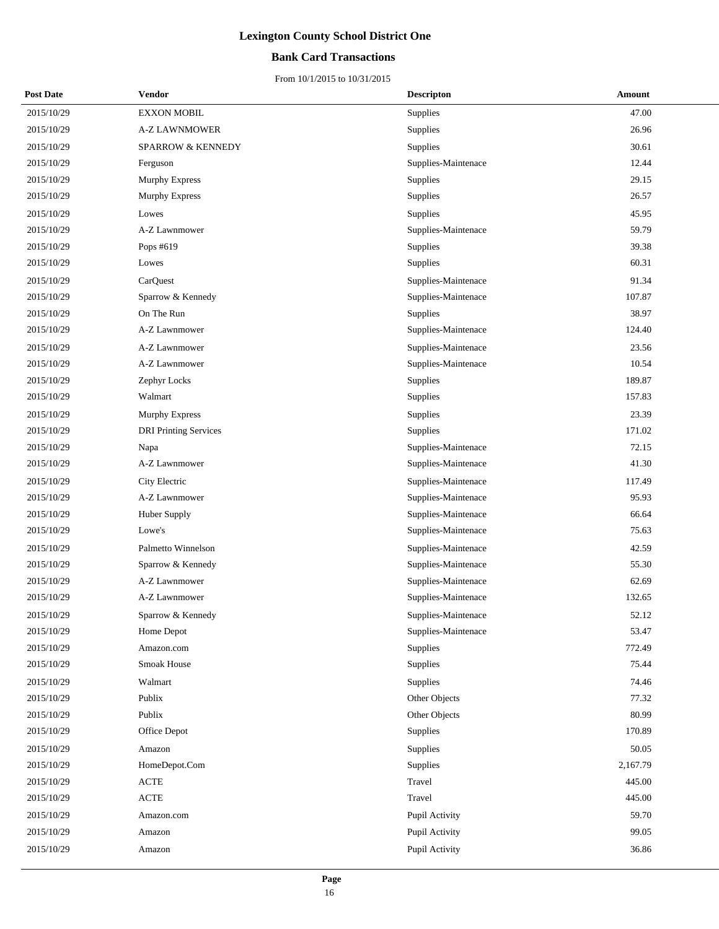### **Bank Card Transactions**

| <b>Post Date</b> | <b>Vendor</b>                | <b>Descripton</b>   | Amount   |
|------------------|------------------------------|---------------------|----------|
| 2015/10/29       | <b>EXXON MOBIL</b>           | Supplies            | 47.00    |
| 2015/10/29       | <b>A-Z LAWNMOWER</b>         | Supplies            | 26.96    |
| 2015/10/29       | <b>SPARROW &amp; KENNEDY</b> | Supplies            | 30.61    |
| 2015/10/29       | Ferguson                     | Supplies-Maintenace | 12.44    |
| 2015/10/29       | Murphy Express               | Supplies            | 29.15    |
| 2015/10/29       | Murphy Express               | Supplies            | 26.57    |
| 2015/10/29       | Lowes                        | Supplies            | 45.95    |
| 2015/10/29       | A-Z Lawnmower                | Supplies-Maintenace | 59.79    |
| 2015/10/29       | Pops #619                    | Supplies            | 39.38    |
| 2015/10/29       | Lowes                        | Supplies            | 60.31    |
| 2015/10/29       | CarQuest                     | Supplies-Maintenace | 91.34    |
| 2015/10/29       | Sparrow & Kennedy            | Supplies-Maintenace | 107.87   |
| 2015/10/29       | On The Run                   | Supplies            | 38.97    |
| 2015/10/29       | A-Z Lawnmower                | Supplies-Maintenace | 124.40   |
| 2015/10/29       | A-Z Lawnmower                | Supplies-Maintenace | 23.56    |
| 2015/10/29       | A-Z Lawnmower                | Supplies-Maintenace | 10.54    |
| 2015/10/29       | Zephyr Locks                 | Supplies            | 189.87   |
| 2015/10/29       | Walmart                      | Supplies            | 157.83   |
| 2015/10/29       | Murphy Express               | Supplies            | 23.39    |
| 2015/10/29       | <b>DRI</b> Printing Services | Supplies            | 171.02   |
| 2015/10/29       | Napa                         | Supplies-Maintenace | 72.15    |
| 2015/10/29       | A-Z Lawnmower                | Supplies-Maintenace | 41.30    |
| 2015/10/29       | City Electric                | Supplies-Maintenace | 117.49   |
| 2015/10/29       | A-Z Lawnmower                | Supplies-Maintenace | 95.93    |
| 2015/10/29       | Huber Supply                 | Supplies-Maintenace | 66.64    |
| 2015/10/29       | Lowe's                       | Supplies-Maintenace | 75.63    |
| 2015/10/29       | Palmetto Winnelson           | Supplies-Maintenace | 42.59    |
| 2015/10/29       | Sparrow & Kennedy            | Supplies-Maintenace | 55.30    |
| 2015/10/29       | A-Z Lawnmower                | Supplies-Maintenace | 62.69    |
| 2015/10/29       | A-Z Lawnmower                | Supplies-Maintenace | 132.65   |
| 2015/10/29       | Sparrow & Kennedy            | Supplies-Maintenace | 52.12    |
| 2015/10/29       | Home Depot                   | Supplies-Maintenace | 53.47    |
| 2015/10/29       | Amazon.com                   | Supplies            | 772.49   |
| 2015/10/29       | Smoak House                  | Supplies            | 75.44    |
| 2015/10/29       | Walmart                      | Supplies            | 74.46    |
| 2015/10/29       | Publix                       | Other Objects       | 77.32    |
| 2015/10/29       | Publix                       | Other Objects       | 80.99    |
| 2015/10/29       | Office Depot                 | Supplies            | 170.89   |
| 2015/10/29       | Amazon                       | Supplies            | 50.05    |
| 2015/10/29       | HomeDepot.Com                | Supplies            | 2,167.79 |
| 2015/10/29       | $\operatorname{ACTE}$        | Travel              | 445.00   |
| 2015/10/29       | $\operatorname{ACTE}$        | Travel              | 445.00   |
| 2015/10/29       | Amazon.com                   | Pupil Activity      | 59.70    |
| 2015/10/29       | Amazon                       | Pupil Activity      | 99.05    |
| 2015/10/29       | Amazon                       | Pupil Activity      | 36.86    |
|                  |                              |                     |          |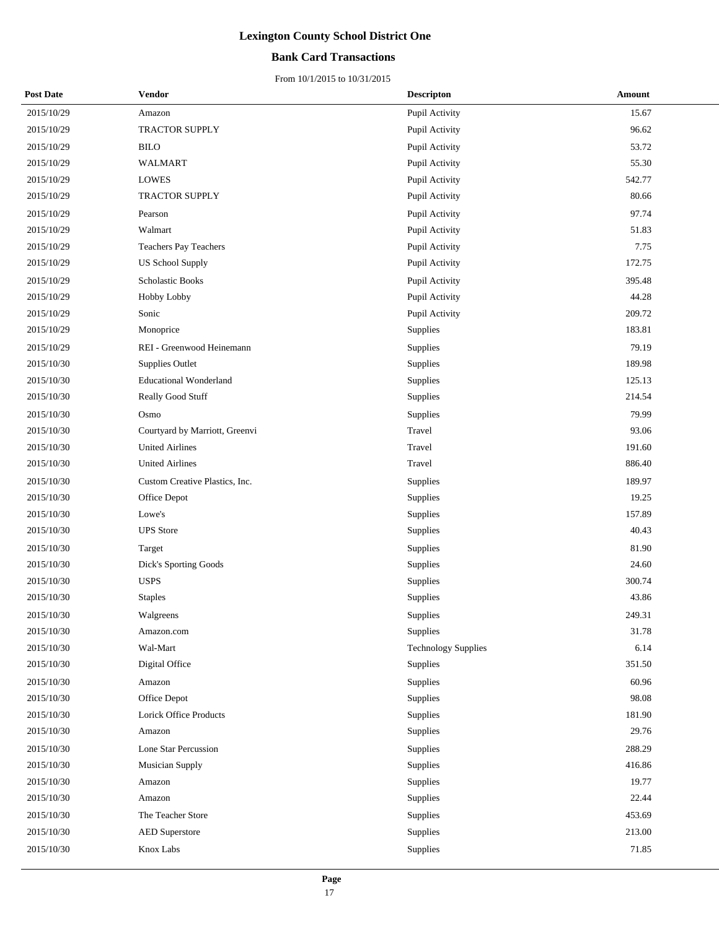### **Bank Card Transactions**

| <b>Post Date</b> | <b>Vendor</b>                  | <b>Descripton</b>          | Amount |
|------------------|--------------------------------|----------------------------|--------|
| 2015/10/29       | Amazon                         | Pupil Activity             | 15.67  |
| 2015/10/29       | TRACTOR SUPPLY                 | Pupil Activity             | 96.62  |
| 2015/10/29       | <b>BILO</b>                    | Pupil Activity             | 53.72  |
| 2015/10/29       | <b>WALMART</b>                 | Pupil Activity             | 55.30  |
| 2015/10/29       | <b>LOWES</b>                   | Pupil Activity             | 542.77 |
| 2015/10/29       | TRACTOR SUPPLY                 | Pupil Activity             | 80.66  |
| 2015/10/29       | Pearson                        | Pupil Activity             | 97.74  |
| 2015/10/29       | Walmart                        | Pupil Activity             | 51.83  |
| 2015/10/29       | Teachers Pay Teachers          | Pupil Activity             | 7.75   |
| 2015/10/29       | <b>US School Supply</b>        | Pupil Activity             | 172.75 |
| 2015/10/29       | Scholastic Books               | Pupil Activity             | 395.48 |
| 2015/10/29       | Hobby Lobby                    | Pupil Activity             | 44.28  |
| 2015/10/29       | Sonic                          | Pupil Activity             | 209.72 |
| 2015/10/29       | Monoprice                      | Supplies                   | 183.81 |
| 2015/10/29       | REI - Greenwood Heinemann      | Supplies                   | 79.19  |
| 2015/10/30       | <b>Supplies Outlet</b>         | Supplies                   | 189.98 |
| 2015/10/30       | <b>Educational Wonderland</b>  | Supplies                   | 125.13 |
| 2015/10/30       | Really Good Stuff              | Supplies                   | 214.54 |
| 2015/10/30       | Osmo                           | Supplies                   | 79.99  |
| 2015/10/30       | Courtyard by Marriott, Greenvi | Travel                     | 93.06  |
| 2015/10/30       | <b>United Airlines</b>         | Travel                     | 191.60 |
| 2015/10/30       | <b>United Airlines</b>         | Travel                     | 886.40 |
| 2015/10/30       | Custom Creative Plastics, Inc. | Supplies                   | 189.97 |
| 2015/10/30       | Office Depot                   | Supplies                   | 19.25  |
| 2015/10/30       | Lowe's                         | Supplies                   | 157.89 |
| 2015/10/30       | <b>UPS</b> Store               | Supplies                   | 40.43  |
| 2015/10/30       | Target                         | Supplies                   | 81.90  |
| 2015/10/30       | Dick's Sporting Goods          | Supplies                   | 24.60  |
| 2015/10/30       | <b>USPS</b>                    | Supplies                   | 300.74 |
| 2015/10/30       | <b>Staples</b>                 | Supplies                   | 43.86  |
| 2015/10/30       | Walgreens                      | Supplies                   | 249.31 |
| 2015/10/30       | Amazon.com                     | Supplies                   | 31.78  |
| 2015/10/30       | Wal-Mart                       | <b>Technology Supplies</b> | 6.14   |
| 2015/10/30       | Digital Office                 | Supplies                   | 351.50 |
| 2015/10/30       | Amazon                         | Supplies                   | 60.96  |
| 2015/10/30       | Office Depot                   | Supplies                   | 98.08  |
| 2015/10/30       | Lorick Office Products         | Supplies                   | 181.90 |
| 2015/10/30       | Amazon                         | Supplies                   | 29.76  |
| 2015/10/30       | Lone Star Percussion           | Supplies                   | 288.29 |
| 2015/10/30       | <b>Musician Supply</b>         | Supplies                   | 416.86 |
| 2015/10/30       | Amazon                         | Supplies                   | 19.77  |
| 2015/10/30       | Amazon                         | Supplies                   | 22.44  |
| 2015/10/30       | The Teacher Store              | Supplies                   | 453.69 |
| 2015/10/30       | <b>AED</b> Superstore          | Supplies                   | 213.00 |
| 2015/10/30       | Knox Labs                      | Supplies                   | 71.85  |
|                  |                                |                            |        |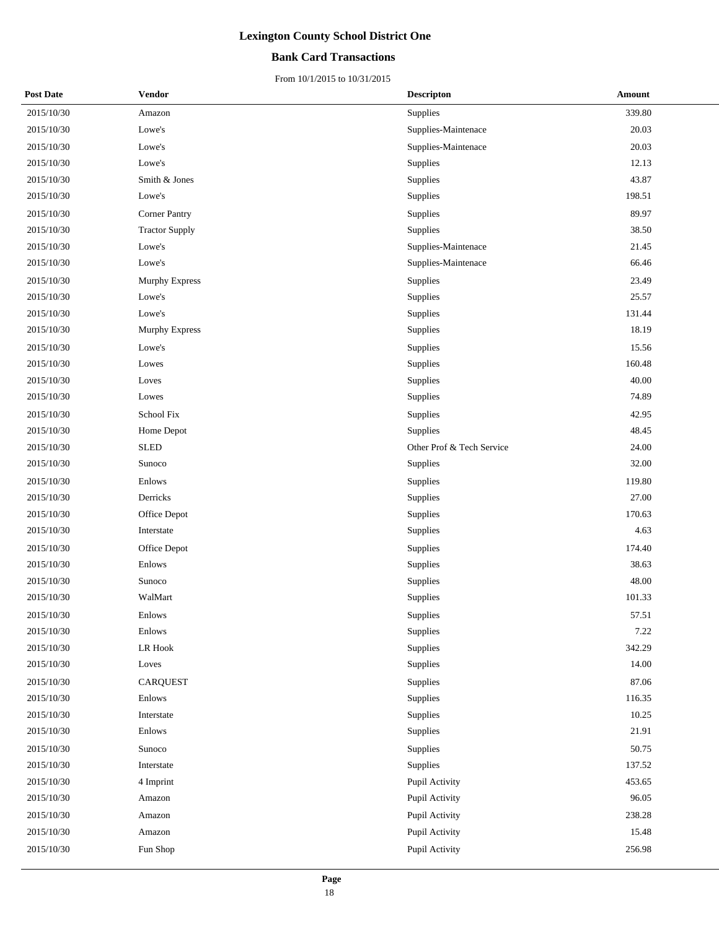### **Bank Card Transactions**

| <b>Post Date</b> | Vendor                | <b>Descripton</b>         | Amount |
|------------------|-----------------------|---------------------------|--------|
| 2015/10/30       | Amazon                | Supplies                  | 339.80 |
| 2015/10/30       | Lowe's                | Supplies-Maintenace       | 20.03  |
| 2015/10/30       | Lowe's                | Supplies-Maintenace       | 20.03  |
| 2015/10/30       | Lowe's                | <b>Supplies</b>           | 12.13  |
| 2015/10/30       | Smith & Jones         | Supplies                  | 43.87  |
| 2015/10/30       | Lowe's                | Supplies                  | 198.51 |
| 2015/10/30       | <b>Corner Pantry</b>  | Supplies                  | 89.97  |
| 2015/10/30       | <b>Tractor Supply</b> | Supplies                  | 38.50  |
| 2015/10/30       | Lowe's                | Supplies-Maintenace       | 21.45  |
| 2015/10/30       | Lowe's                | Supplies-Maintenace       | 66.46  |
| 2015/10/30       | <b>Murphy Express</b> | Supplies                  | 23.49  |
| 2015/10/30       | Lowe's                | Supplies                  | 25.57  |
| 2015/10/30       | Lowe's                | Supplies                  | 131.44 |
| 2015/10/30       | Murphy Express        | Supplies                  | 18.19  |
| 2015/10/30       | Lowe's                | Supplies                  | 15.56  |
| 2015/10/30       | Lowes                 | Supplies                  | 160.48 |
| 2015/10/30       | Loves                 | Supplies                  | 40.00  |
| 2015/10/30       | Lowes                 | Supplies                  | 74.89  |
| 2015/10/30       | School Fix            | Supplies                  | 42.95  |
| 2015/10/30       | Home Depot            | Supplies                  | 48.45  |
| 2015/10/30       | <b>SLED</b>           | Other Prof & Tech Service | 24.00  |
| 2015/10/30       | Sunoco                | Supplies                  | 32.00  |
| 2015/10/30       | Enlows                | Supplies                  | 119.80 |
| 2015/10/30       | Derricks              | Supplies                  | 27.00  |
| 2015/10/30       | Office Depot          | Supplies                  | 170.63 |
| 2015/10/30       | Interstate            | Supplies                  | 4.63   |
| 2015/10/30       | Office Depot          | Supplies                  | 174.40 |
| 2015/10/30       | Enlows                | <b>Supplies</b>           | 38.63  |
| 2015/10/30       | Sunoco                | Supplies                  | 48.00  |
| 2015/10/30       | WalMart               | Supplies                  | 101.33 |
| 2015/10/30       | Enlows                | Supplies                  | 57.51  |
| 2015/10/30       | Enlows                | Supplies                  | 7.22   |
| 2015/10/30       | LR Hook               | Supplies                  | 342.29 |
| 2015/10/30       | Loves                 | Supplies                  | 14.00  |
| 2015/10/30       | <b>CARQUEST</b>       | Supplies                  | 87.06  |
| 2015/10/30       | Enlows                | Supplies                  | 116.35 |
| 2015/10/30       | Interstate            | Supplies                  | 10.25  |
| 2015/10/30       | Enlows                | Supplies                  | 21.91  |
| 2015/10/30       | Sunoco                | Supplies                  | 50.75  |
| 2015/10/30       | Interstate            | Supplies                  | 137.52 |
| 2015/10/30       | 4 Imprint             | Pupil Activity            | 453.65 |
| 2015/10/30       | Amazon                | Pupil Activity            | 96.05  |
| 2015/10/30       | Amazon                | Pupil Activity            | 238.28 |
| 2015/10/30       | Amazon                | Pupil Activity            | 15.48  |
| 2015/10/30       | Fun Shop              | Pupil Activity            | 256.98 |
|                  |                       |                           |        |